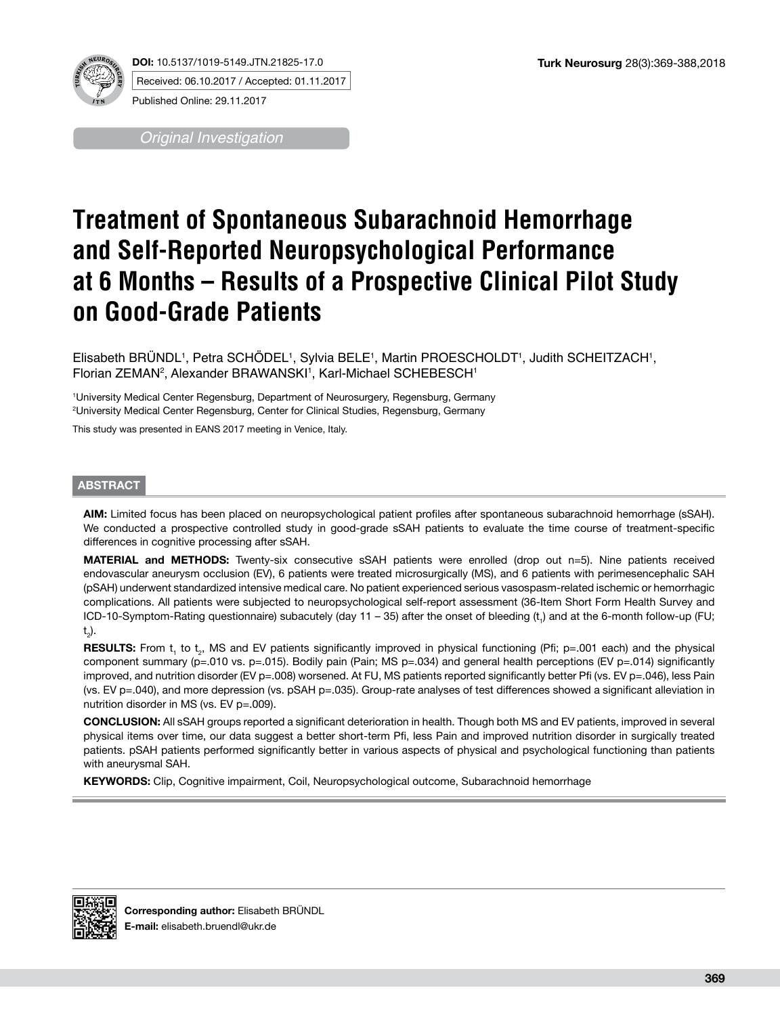

**DOI:** 10.5137/1019-5149.JTN.21825-17.0 Received: 06.10.2017 / Accepted: 01.11.2017

Published Online: 29.11.2017

*Original Investigation*

# **Treatment of Spontaneous Subarachnoid Hemorrhage and Self-Reported Neuropsychological Performance at 6 Months – Results of a Prospective Clinical Pilot Study on Good-Grade Patients**

Elisabeth BRUNDL1, Petra SCHODEL1, Sylvia BELE1, Martin PROESCHOLDT1, Judith SCHEITZACH1, Florian ZEMAN<sup>2</sup>, Alexander BRAWANSKI<sup>1</sup>, Karl-Michael SCHEBESCH<sup>1</sup>

1 University Medical Center Regensburg, Department of Neurosurgery, Regensburg, Germany 2 University Medical Center Regensburg, Center for Clinical Studies, Regensburg, Germany

This study was presented in EANS 2017 meeting in Venice, Italy.

# **ABSTRACT**

**AIM:** Limited focus has been placed on neuropsychological patient profiles after spontaneous subarachnoid hemorrhage (sSAH). We conducted a prospective controlled study in good-grade sSAH patients to evaluate the time course of treatment-specific differences in cognitive processing after sSAH.

**MATERIAL and METHODS:** Twenty-six consecutive sSAH patients were enrolled (drop out n=5). Nine patients received endovascular aneurysm occlusion (EV), 6 patients were treated microsurgically (MS), and 6 patients with perimesencephalic SAH (pSAH) underwent standardized intensive medical care. No patient experienced serious vasospasm-related ischemic or hemorrhagic complications. All patients were subjected to neuropsychological self-report assessment (36-Item Short Form Health Survey and ICD-10-Symptom-Rating questionnaire) subacutely (day 11 – 35) after the onset of bleeding (t<sub>1</sub>) and at the 6-month follow-up (FU; t 2 ).

**RESULTS:** From t<sub>1</sub> to t<sub>2</sub>, MS and EV patients significantly improved in physical functioning (Pfi; p=.001 each) and the physical component summary (p=.010 vs. p=.015). Bodily pain (Pain; MS p=.034) and general health perceptions (EV p=.014) significantly improved, and nutrition disorder (EV p=.008) worsened. At FU, MS patients reported significantly better Pfi (vs. EV p=.046), less Pain (vs. EV p=.040), and more depression (vs. pSAH p=.035). Group-rate analyses of test differences showed a significant alleviation in nutrition disorder in MS (vs. EV p=.009).

**CONCLUSION:** All sSAH groups reported a significant deterioration in health. Though both MS and EV patients, improved in several physical items over time, our data suggest a better short-term Pfi, less Pain and improved nutrition disorder in surgically treated patients. pSAH patients performed significantly better in various aspects of physical and psychological functioning than patients with aneurysmal SAH.

**KEYWORDS:** Clip, Cognitive impairment, Coil, Neuropsychological outcome, Subarachnoid hemorrhage

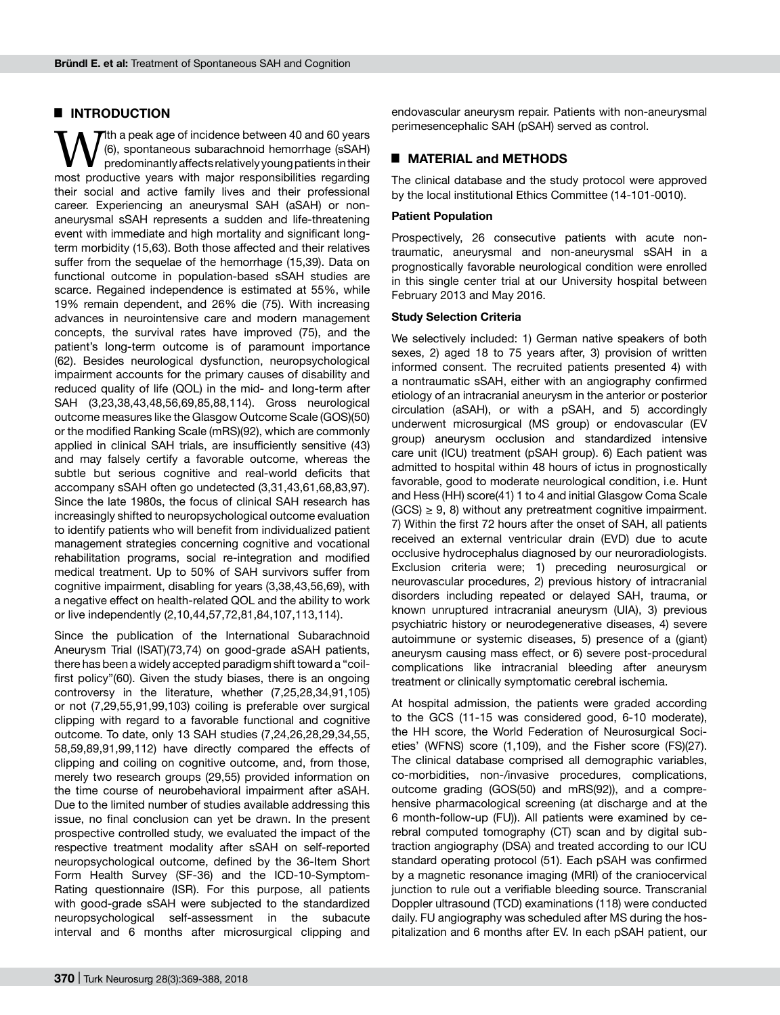## █ **INTRODUCTION**

W<sup>rth a</sup> peak age of incidence between 40 and 60 years<br>
(6), spontaneous subarachnoid hemorrhage (sSAH)<br>
predominantly affects relatively young patients in their<br>
most productive vears with major responsibilities regarding (6), spontaneous subarachnoid hemorrhage (sSAH) predominantly affects relatively young patients in their most productive years with major responsibilities regarding their social and active family lives and their professional career. Experiencing an aneurysmal SAH (aSAH) or nonaneurysmal sSAH represents a sudden and life-threatening event with immediate and high mortality and significant longterm morbidity (15,63). Both those affected and their relatives suffer from the sequelae of the hemorrhage (15,39). Data on functional outcome in population-based sSAH studies are scarce. Regained independence is estimated at 55%, while 19% remain dependent, and 26% die (75). With increasing advances in neurointensive care and modern management concepts, the survival rates have improved (75), and the patient's long-term outcome is of paramount importance (62). Besides neurological dysfunction, neuropsychological impairment accounts for the primary causes of disability and reduced quality of life (QOL) in the mid- and long-term after SAH (3,23,38,43,48,56,69,85,88,114). Gross neurological outcome measures like the Glasgow Outcome Scale (GOS)(50) or the modified Ranking Scale (mRS)(92), which are commonly applied in clinical SAH trials, are insufficiently sensitive (43) and may falsely certify a favorable outcome, whereas the subtle but serious cognitive and real-world deficits that accompany sSAH often go undetected (3,31,43,61,68,83,97). Since the late 1980s, the focus of clinical SAH research has increasingly shifted to neuropsychological outcome evaluation to identify patients who will benefit from individualized patient management strategies concerning cognitive and vocational rehabilitation programs, social re-integration and modified medical treatment. Up to 50% of SAH survivors suffer from cognitive impairment, disabling for years (3,38,43,56,69), with a negative effect on health-related QOL and the ability to work or live independently (2,10,44,57,72,81,84,107,113,114).

Since the publication of the International Subarachnoid Aneurysm Trial (ISAT)(73,74) on good-grade aSAH patients, there has been a widely accepted paradigm shift toward a "coilfirst policy"(60). Given the study biases, there is an ongoing controversy in the literature, whether (7,25,28,34,91,105) or not (7,29,55,91,99,103) coiling is preferable over surgical clipping with regard to a favorable functional and cognitive outcome. To date, only 13 SAH studies (7,24,26,28,29,34,55, 58,59,89,91,99,112) have directly compared the effects of clipping and coiling on cognitive outcome, and, from those, merely two research groups (29,55) provided information on the time course of neurobehavioral impairment after aSAH. Due to the limited number of studies available addressing this issue, no final conclusion can yet be drawn. In the present prospective controlled study, we evaluated the impact of the respective treatment modality after sSAH on self-reported neuropsychological outcome, defined by the 36-Item Short Form Health Survey (SF-36) and the ICD-10-Symptom-Rating questionnaire (ISR). For this purpose, all patients with good-grade sSAH were subjected to the standardized neuropsychological self-assessment in the subacute interval and 6 months after microsurgical clipping and

endovascular aneurysm repair. Patients with non-aneurysmal perimesencephalic SAH (pSAH) served as control.

## █ **MATERIAL and METHODS**

The clinical database and the study protocol were approved by the local institutional Ethics Committee (14-101-0010).

#### **Patient Population**

Prospectively, 26 consecutive patients with acute nontraumatic, aneurysmal and non-aneurysmal sSAH in a prognostically favorable neurological condition were enrolled in this single center trial at our University hospital between February 2013 and May 2016.

#### **Study Selection Criteria**

We selectively included: 1) German native speakers of both sexes, 2) aged 18 to 75 years after, 3) provision of written informed consent. The recruited patients presented 4) with a nontraumatic sSAH, either with an angiography confirmed etiology of an intracranial aneurysm in the anterior or posterior circulation (aSAH), or with a pSAH, and 5) accordingly underwent microsurgical (MS group) or endovascular (EV group) aneurysm occlusion and standardized intensive care unit (ICU) treatment (pSAH group). 6) Each patient was admitted to hospital within 48 hours of ictus in prognostically favorable, good to moderate neurological condition, i.e. Hunt and Hess (HH) score(41) 1 to 4 and initial Glasgow Coma Scale  $(GCS) \geq 9$ , 8) without any pretreatment cognitive impairment. 7) Within the first 72 hours after the onset of SAH, all patients received an external ventricular drain (EVD) due to acute occlusive hydrocephalus diagnosed by our neuroradiologists. Exclusion criteria were; 1) preceding neurosurgical or neurovascular procedures, 2) previous history of intracranial disorders including repeated or delayed SAH, trauma, or known unruptured intracranial aneurysm (UIA), 3) previous psychiatric history or neurodegenerative diseases, 4) severe autoimmune or systemic diseases, 5) presence of a (giant) aneurysm causing mass effect, or 6) severe post-procedural complications like intracranial bleeding after aneurysm treatment or clinically symptomatic cerebral ischemia.

At hospital admission, the patients were graded according to the GCS (11-15 was considered good, 6-10 moderate), the HH score, the World Federation of Neurosurgical Societies' (WFNS) score (1,109), and the Fisher score (FS)(27). The clinical database comprised all demographic variables, co-morbidities, non-/invasive procedures, complications, outcome grading (GOS(50) and mRS(92)), and a comprehensive pharmacological screening (at discharge and at the 6 month-follow-up (FU)). All patients were examined by cerebral computed tomography (CT) scan and by digital subtraction angiography (DSA) and treated according to our ICU standard operating protocol (51). Each pSAH was confirmed by a magnetic resonance imaging (MRI) of the craniocervical junction to rule out a verifiable bleeding source. Transcranial Doppler ultrasound (TCD) examinations (118) were conducted daily. FU angiography was scheduled after MS during the hospitalization and 6 months after EV. In each pSAH patient, our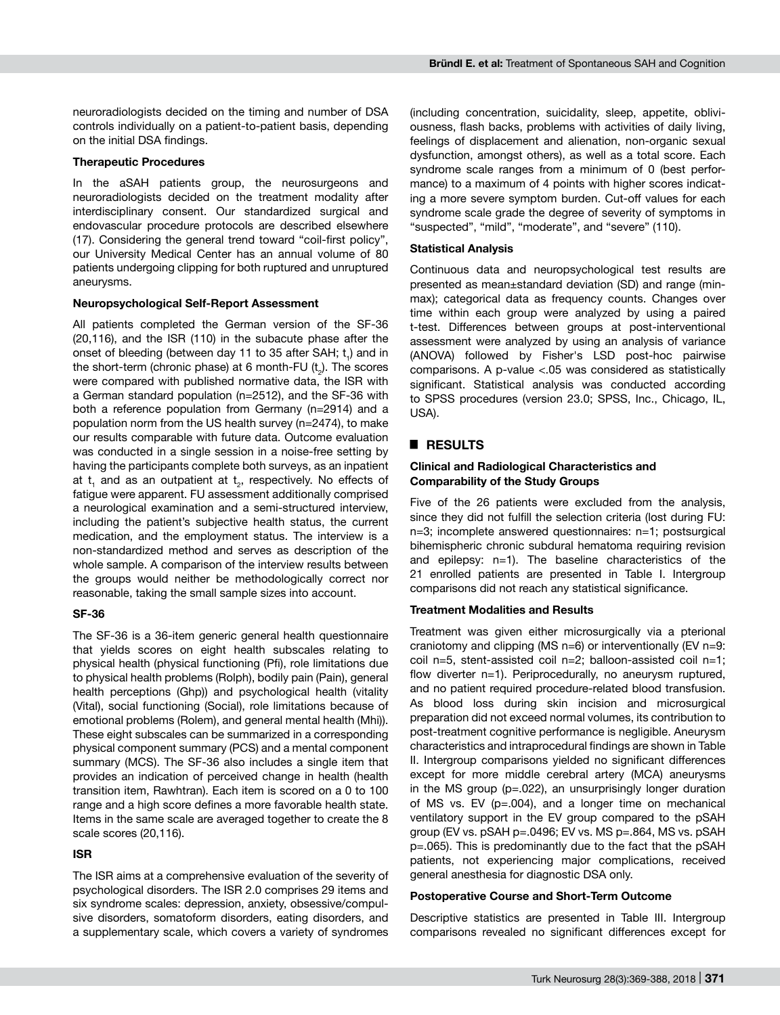neuroradiologists decided on the timing and number of DSA controls individually on a patient-to-patient basis, depending on the initial DSA findings.

#### **Therapeutic Procedures**

In the aSAH patients group, the neurosurgeons and neuroradiologists decided on the treatment modality after interdisciplinary consent. Our standardized surgical and endovascular procedure protocols are described elsewhere (17). Considering the general trend toward "coil-first policy", our University Medical Center has an annual volume of 80 patients undergoing clipping for both ruptured and unruptured aneurysms.

### **Neuropsychological Self-Report Assessment**

All patients completed the German version of the SF-36 (20,116), and the ISR (110) in the subacute phase after the onset of bleeding (between day 11 to 35 after SAH;  $t_1$ ) and in the short-term (chronic phase) at 6 month-FU  $(t_2)$ . The scores were compared with published normative data, the ISR with a German standard population (n=2512), and the SF-36 with both a reference population from Germany (n=2914) and a population norm from the US health survey (n=2474), to make our results comparable with future data. Outcome evaluation was conducted in a single session in a noise-free setting by having the participants complete both surveys, as an inpatient at  $t_1$  and as an outpatient at  $t_2$ , respectively. No effects of fatigue were apparent. FU assessment additionally comprised a neurological examination and a semi-structured interview, including the patient's subjective health status, the current medication, and the employment status. The interview is a non-standardized method and serves as description of the whole sample. A comparison of the interview results between the groups would neither be methodologically correct nor reasonable, taking the small sample sizes into account.

## **SF-36**

The SF-36 is a 36-item generic general health questionnaire that yields scores on eight health subscales relating to physical health (physical functioning (Pfi), role limitations due to physical health problems (Rolph), bodily pain (Pain), general health perceptions (Ghp)) and psychological health (vitality (Vital), social functioning (Social), role limitations because of emotional problems (Rolem), and general mental health (Mhi)). These eight subscales can be summarized in a corresponding physical component summary (PCS) and a mental component summary (MCS). The SF-36 also includes a single item that provides an indication of perceived change in health (health transition item, Rawhtran). Each item is scored on a 0 to 100 range and a high score defines a more favorable health state. Items in the same scale are averaged together to create the 8 scale scores (20,116).

## **ISR**

The ISR aims at a comprehensive evaluation of the severity of psychological disorders. The ISR 2.0 comprises 29 items and six syndrome scales: depression, anxiety, obsessive/compulsive disorders, somatoform disorders, eating disorders, and a supplementary scale, which covers a variety of syndromes (including concentration, suicidality, sleep, appetite, obliviousness, flash backs, problems with activities of daily living, feelings of displacement and alienation, non-organic sexual dysfunction, amongst others), as well as a total score. Each syndrome scale ranges from a minimum of 0 (best performance) to a maximum of 4 points with higher scores indicating a more severe symptom burden. Cut-off values for each syndrome scale grade the degree of severity of symptoms in "suspected", "mild", "moderate", and "severe" (110).

#### **Statistical Analysis**

Continuous data and neuropsychological test results are presented as mean±standard deviation (SD) and range (minmax); categorical data as frequency counts. Changes over time within each group were analyzed by using a paired t-test. Differences between groups at post-interventional assessment were analyzed by using an analysis of variance (ANOVA) followed by Fisher's LSD post-hoc pairwise comparisons. A p-value <.05 was considered as statistically significant. Statistical analysis was conducted according to SPSS procedures (version 23.0; SPSS, Inc., Chicago, IL, USA).

# █ **RESULTS**

## **Clinical and Radiological Characteristics and Comparability of the Study Groups**

Five of the 26 patients were excluded from the analysis, since they did not fulfill the selection criteria (lost during FU: n=3; incomplete answered questionnaires: n=1; postsurgical bihemispheric chronic subdural hematoma requiring revision and epilepsy: n=1). The baseline characteristics of the 21 enrolled patients are presented in Table I. Intergroup comparisons did not reach any statistical significance.

#### **Treatment Modalities and Results**

Treatment was given either microsurgically via a pterional craniotomy and clipping (MS n=6) or interventionally (EV n=9: coil n=5, stent-assisted coil n=2; balloon-assisted coil n=1; flow diverter n=1). Periprocedurally, no aneurysm ruptured, and no patient required procedure-related blood transfusion. As blood loss during skin incision and microsurgical preparation did not exceed normal volumes, its contribution to post-treatment cognitive performance is negligible. Aneurysm characteristics and intraprocedural findings are shown in Table II. Intergroup comparisons yielded no significant differences except for more middle cerebral artery (MCA) aneurysms in the MS group (p=.022), an unsurprisingly longer duration of MS vs. EV (p=.004), and a longer time on mechanical ventilatory support in the EV group compared to the pSAH group (EV vs. pSAH p=.0496; EV vs. MS p=.864, MS vs. pSAH p=.065). This is predominantly due to the fact that the pSAH patients, not experiencing major complications, received general anesthesia for diagnostic DSA only.

#### **Postoperative Course and Short-Term Outcome**

Descriptive statistics are presented in Table III. Intergroup comparisons revealed no significant differences except for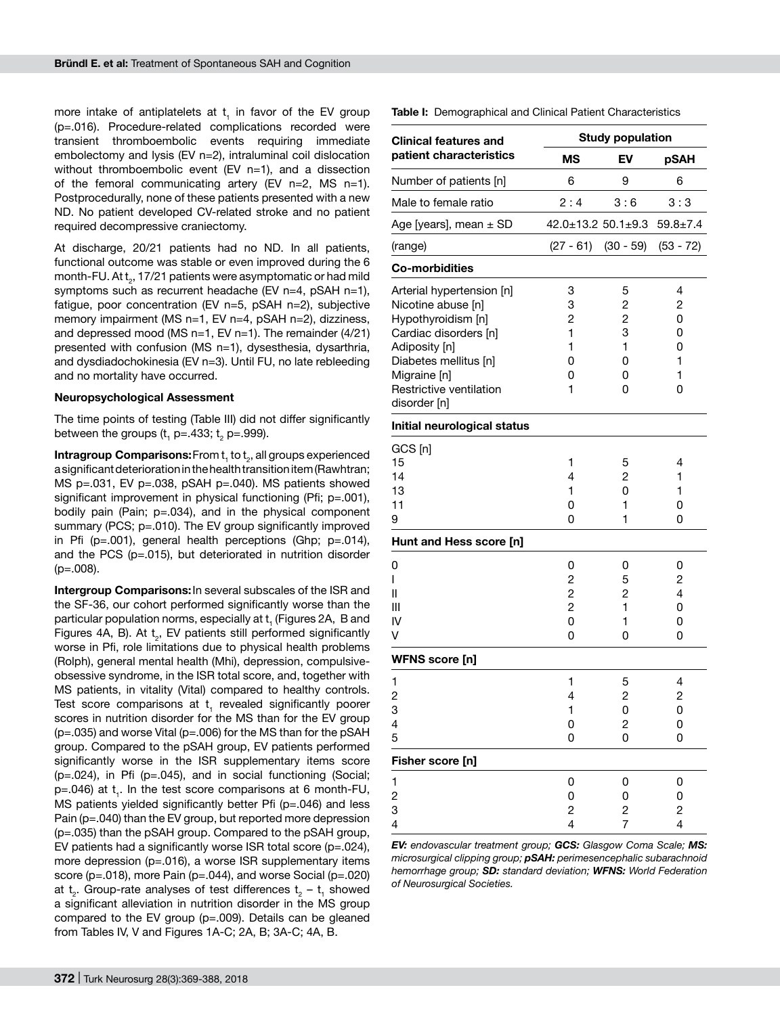more intake of antiplatelets at  $t<sub>1</sub>$  in favor of the EV group (p=.016). Procedure-related complications recorded were transient thromboembolic events requiring immediate embolectomy and lysis (EV n=2), intraluminal coil dislocation without thromboembolic event (EV n=1), and a dissection of the femoral communicating artery (EV  $n=2$ , MS  $n=1$ ). Postprocedurally, none of these patients presented with a new ND. No patient developed CV-related stroke and no patient required decompressive craniectomy.

At discharge, 20/21 patients had no ND. In all patients, functional outcome was stable or even improved during the 6 month-FU. At  ${\sf t}_{_2}$ , 17/21 patients were asymptomatic or had mild symptoms such as recurrent headache (EV n=4, pSAH n=1), fatigue, poor concentration (EV n=5, pSAH n=2), subjective memory impairment (MS n=1, EV n=4, pSAH n=2), dizziness, and depressed mood (MS  $n=1$ , EV  $n=1$ ). The remainder (4/21) presented with confusion (MS n=1), dysesthesia, dysarthria, and dysdiadochokinesia (EV n=3). Until FU, no late rebleeding and no mortality have occurred.

### **Neuropsychological Assessment**

The time points of testing (Table III) did not differ significantly between the groups (t $_{\rm 1}$  p=.433; t $_{\rm 2}$  p=.999).

 $\textbf{Intragroup } \textbf{Comparisons:}$  From  $\mathsf{t}_{\scriptscriptstyle{1}}$  to  $\mathsf{t}_{\scriptscriptstyle{2}}$ , all groups experienced a significant deterioration in the health transition item (Rawhtran; MS  $p=.031$ , EV  $p=.038$ ,  $pSAH$   $p=.040$ ). MS patients showed significant improvement in physical functioning (Pfi; p=.001), bodily pain (Pain; p=.034), and in the physical component summary (PCS; p=.010). The EV group significantly improved in Pfi ( $p = .001$ ), general health perceptions (Ghp;  $p = .014$ ), and the PCS (p=.015), but deteriorated in nutrition disorder (p=.008).

**Intergroup Comparisons:**In several subscales of the ISR and the SF-36, our cohort performed significantly worse than the particular population norms, especially at  $\mathsf{t}_\mathsf{\scriptscriptstyle 1}$  (Figures 2A,  $\,$  B and Figures 4A, B). At  $t_2$ , EV patients still performed significantly worse in Pfi, role limitations due to physical health problems (Rolph), general mental health (Mhi), depression, compulsiveobsessive syndrome, in the ISR total score, and, together with MS patients, in vitality (Vital) compared to healthy controls. Test score comparisons at  $t<sub>1</sub>$  revealed significantly poorer scores in nutrition disorder for the MS than for the EV group  $(p=.035)$  and worse Vital  $(p=.006)$  for the MS than for the pSAH group. Compared to the pSAH group, EV patients performed significantly worse in the ISR supplementary items score (p=.024), in Pfi (p=.045), and in social functioning (Social; p=.046) at t<sub>1</sub>. In the test score comparisons at 6 month-FU, MS patients yielded significantly better Pfi (p=.046) and less Pain (p=.040) than the EV group, but reported more depression (p=.035) than the pSAH group. Compared to the pSAH group, EV patients had a significantly worse ISR total score (p=.024), more depression (p=.016), a worse ISR supplementary items score ( $p=.018$ ), more Pain ( $p=.044$ ), and worse Social ( $p=.020$ ) at  $t_2$ . Group-rate analyses of test differences  $t_2$  –  $t_1$  showed a significant alleviation in nutrition disorder in the MS group compared to the EV group (p=.009). Details can be gleaned from Tables IV, V and Figures 1A-C; 2A, B; 3A-C; 4A, B.

|                                      | <b>Study population</b>                         |                                      |
|--------------------------------------|-------------------------------------------------|--------------------------------------|
| <b>MS</b>                            | EV                                              | pSAH                                 |
| 6                                    | 9                                               | 6                                    |
| 2:4                                  | 3:6                                             | 3:3                                  |
|                                      |                                                 | $59.8 \pm 7.4$                       |
| $(27 - 61)$                          | $(30 - 59)$                                     | $(53 - 72)$                          |
|                                      |                                                 |                                      |
| 3<br>3<br>2<br>1<br>1<br>0<br>0<br>1 | 5<br>2<br>2<br>3<br>1<br>0<br>0<br>0            | 4<br>2<br>0<br>0<br>0<br>1<br>1<br>0 |
|                                      |                                                 |                                      |
| 1<br>4<br>1<br>0<br>0                | 5<br>2<br>0<br>1<br>1                           | 4<br>1<br>1<br>0<br>0                |
|                                      |                                                 |                                      |
| 0<br>2<br>2<br>2<br>0<br>0           | 0<br>5<br>$\overline{c}$<br>1<br>1<br>0         | 0<br>2<br>4<br>0<br>0<br>0           |
|                                      |                                                 |                                      |
| 1<br>4<br>1<br>0<br>0                | 5<br>$\overline{c}$<br>0<br>$\overline{c}$<br>0 | 4<br>$\overline{c}$<br>0<br>0<br>0   |
|                                      |                                                 |                                      |
| 0<br>0<br>2<br>4                     | 0<br>0<br>2<br>7                                | 0<br>0<br>2<br>4                     |
|                                      |                                                 | $42.0 \pm 13.2$ 50.1 $\pm$ 9.3       |

**Table I:** Demographical and Clinical Patient Characteristics

*EV: endovascular treatment group; GCS: Glasgow Coma Scale; MS: microsurgical clipping group; pSAH: perimesencephalic subarachnoid hemorrhage group; SD: standard deviation; WFNS: World Federation of Neurosurgical Societies.*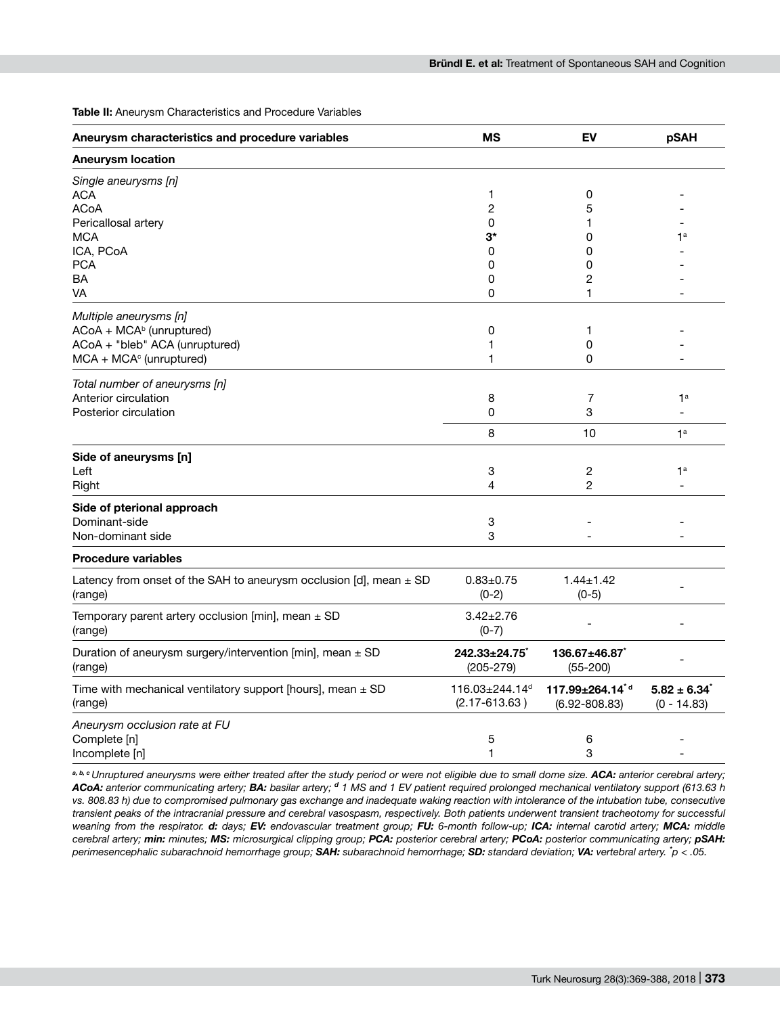**Table II:** Aneurysm Characteristics and Procedure Variables

| Aneurysm characteristics and procedure variables                                  | <b>MS</b>                                       | EV                                               | pSAH                             |
|-----------------------------------------------------------------------------------|-------------------------------------------------|--------------------------------------------------|----------------------------------|
| <b>Aneurysm location</b>                                                          |                                                 |                                                  |                                  |
| Single aneurysms [n]<br><b>ACA</b>                                                | 1                                               | 0                                                |                                  |
| <b>ACoA</b>                                                                       | $\overline{c}$                                  | 5                                                |                                  |
| Pericallosal artery                                                               | 0                                               | 1                                                |                                  |
| <b>MCA</b>                                                                        | $3^*$                                           | 0                                                | 1 <sup>a</sup>                   |
| ICA, PCoA                                                                         | 0                                               | 0                                                |                                  |
| <b>PCA</b>                                                                        | 0                                               | 0                                                |                                  |
| BA                                                                                | 0                                               | 2                                                |                                  |
| VA                                                                                | 0                                               | 1                                                |                                  |
| Multiple aneurysms [n]                                                            |                                                 |                                                  |                                  |
| $ACoA + MCAb$ (unruptured)                                                        | 0                                               | 1                                                |                                  |
| ACoA + "bleb" ACA (unruptured)                                                    | 1                                               | 0                                                |                                  |
| $MCA + MCAc$ (unruptured)                                                         | 1                                               | 0                                                |                                  |
| Total number of aneurysms [n]                                                     |                                                 |                                                  |                                  |
| Anterior circulation                                                              | 8                                               | 7                                                | 1 <sup>a</sup>                   |
| Posterior circulation                                                             | 0                                               | 3                                                |                                  |
|                                                                                   | 8                                               | 10                                               | 1 <sup>a</sup>                   |
| Side of aneurysms [n]                                                             |                                                 |                                                  |                                  |
| Left                                                                              | 3                                               | 2                                                | 1 <sup>a</sup>                   |
| Right                                                                             | 4                                               | $\overline{c}$                                   |                                  |
| Side of pterional approach                                                        |                                                 |                                                  |                                  |
| Dominant-side                                                                     | 3                                               |                                                  |                                  |
| Non-dominant side                                                                 | 3                                               |                                                  |                                  |
| <b>Procedure variables</b>                                                        |                                                 |                                                  |                                  |
| Latency from onset of the SAH to aneurysm occlusion [d], mean $\pm$ SD<br>(range) | $0.83 \pm 0.75$<br>$(0-2)$                      | $1.44 \pm 1.42$<br>$(0-5)$                       |                                  |
| Temporary parent artery occlusion [min], mean $\pm$ SD<br>(range)                 | $3.42 \pm 2.76$<br>$(0-7)$                      |                                                  |                                  |
| Duration of aneurysm surgery/intervention [min], mean ± SD<br>(range)             | $242.33 \pm 24.75$<br>$(205 - 279)$             | $136.67 \pm 46.87$<br>$(55 - 200)$               |                                  |
| Time with mechanical ventilatory support [hours], mean $\pm$ SD<br>(range)        | 116.03±244.14 <sup>d</sup><br>$(2.17 - 613.63)$ | 117.99±264.14 <sup>*d</sup><br>$(6.92 - 808.83)$ | $5.82 \pm 6.34$<br>$(0 - 14.83)$ |
| Aneurysm occlusion rate at FU                                                     |                                                 |                                                  |                                  |
| Complete [n]                                                                      | 5                                               | 6                                                |                                  |
| Incomplete [n]                                                                    | 1                                               | 3                                                |                                  |

a, b, c Unruptured aneurysms were either treated after the study period or were not eligible due to small dome size. ACA: anterior cerebral artery; *ACoA: anterior communicating artery; BA: basilar artery; <sup>d</sup> 1 MS and 1 EV patient required prolonged mechanical ventilatory support (613.63 h vs. 808.83 h) due to compromised pulmonary gas exchange and inadequate waking reaction with intolerance of the intubation tube, consecutive transient peaks of the intracranial pressure and cerebral vasospasm, respectively. Both patients underwent transient tracheotomy for successful weaning from the respirator. d: days; EV: endovascular treatment group; FU: 6-month follow-up; ICA: internal carotid artery; MCA: middle cerebral artery; min: minutes; MS: microsurgical clipping group; PCA: posterior cerebral artery; PCoA: posterior communicating artery; pSAH: perimesencephalic subarachnoid hemorrhage group; SAH: subarachnoid hemorrhage; SD: standard deviation; VA: vertebral artery. \* p < .05.*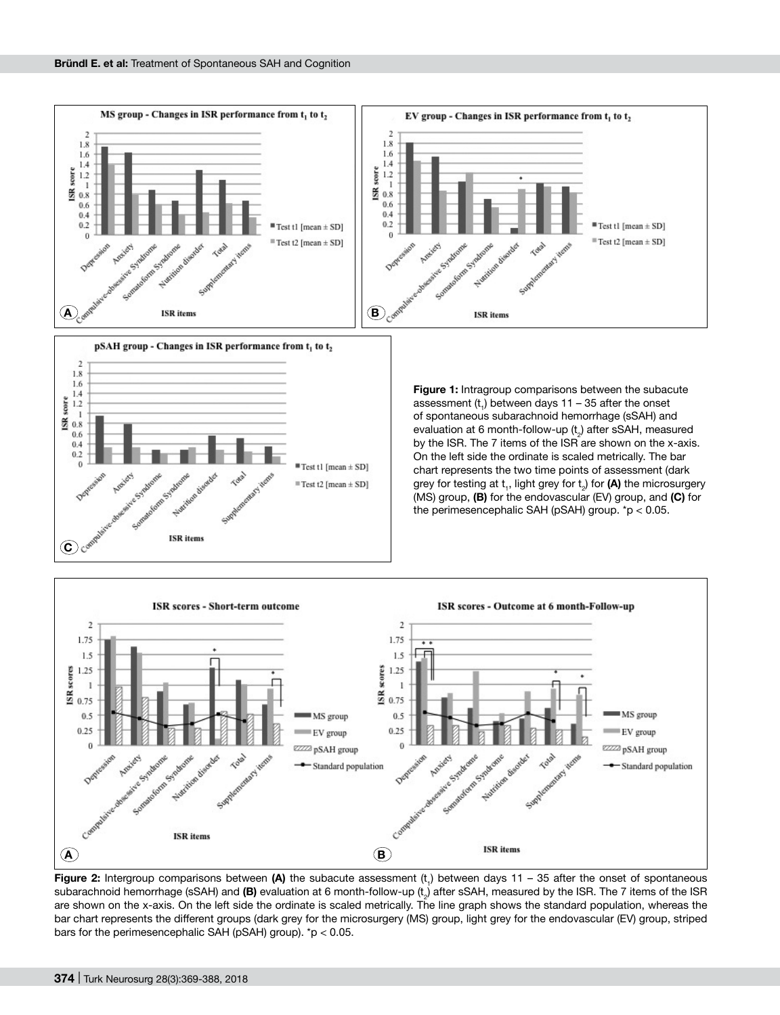



**Figure 1:** Intragroup comparisons between the subacute assessment  $(t_1)$  between days 11 – 35 after the onset of spontaneous subarachnoid hemorrhage (sSAH) and evaluation at 6 month-follow-up  $(t_2)$  after sSAH, measured by the ISR. The 7 items of the ISR are shown on the x-axis. On the left side the ordinate is scaled metrically. The bar chart represents the two time points of assessment (dark grey for testing at  $t_1$ , light grey for  $t_2$ ) for **(A)** the microsurgery (MS) group, **(B)** for the endovascular (EV) group, and **(C)** for the perimesencephalic SAH (pSAH) group.  $p < 0.05$ .



**Figure 2:** Intergroup comparisons between (A) the subacute assessment (t<sub>1</sub>) between days 11 – 35 after the onset of spontaneous subarachnoid hemorrhage (sSAH) and **(B)** evaluation at 6 month-follow-up (t<sub>2</sub>) after sSAH, measured by the ISR. The 7 items of the ISR are shown on the x-axis. On the left side the ordinate is scaled metrically. The line graph shows the standard population, whereas the bar chart represents the different groups (dark grey for the microsurgery (MS) group, light grey for the endovascular (EV) group, striped bars for the perimesencephalic SAH (pSAH) group). \*p < 0.05.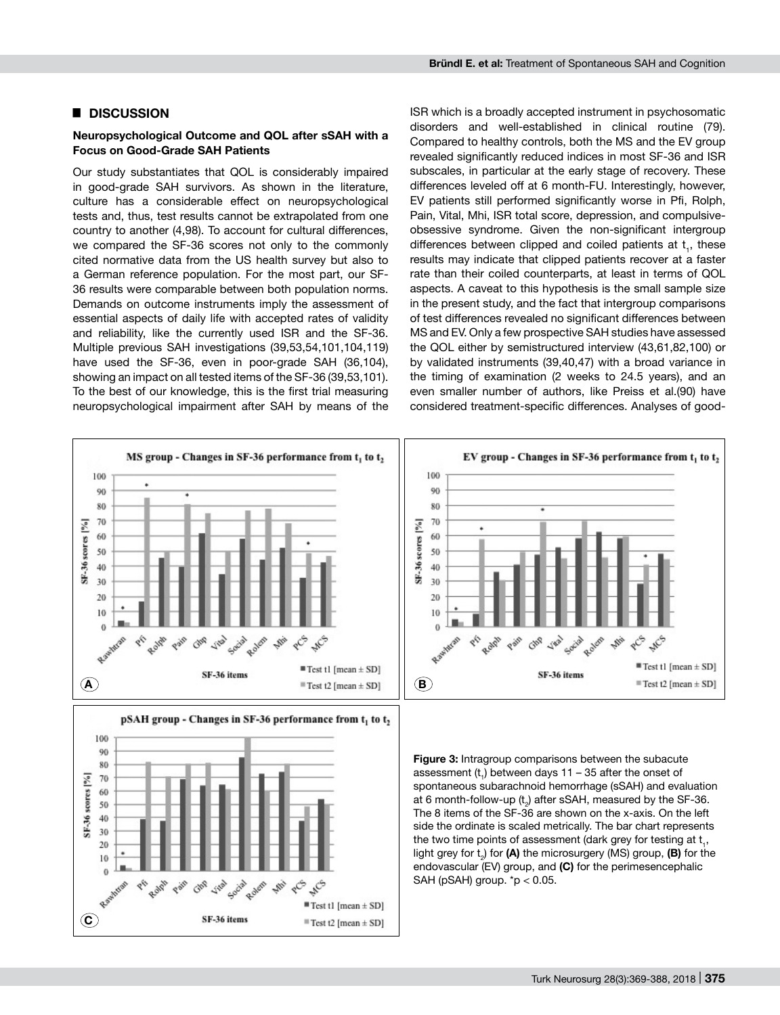## █ **DISCUSSION**

## **Neuropsychological Outcome and QOL after sSAH with a Focus on Good-Grade SAH Patients**

Our study substantiates that QOL is considerably impaired in good-grade SAH survivors. As shown in the literature, culture has a considerable effect on neuropsychological tests and, thus, test results cannot be extrapolated from one country to another (4,98). To account for cultural differences, we compared the SF-36 scores not only to the commonly cited normative data from the US health survey but also to a German reference population. For the most part, our SF-36 results were comparable between both population norms. Demands on outcome instruments imply the assessment of essential aspects of daily life with accepted rates of validity and reliability, like the currently used ISR and the SF-36. Multiple previous SAH investigations (39,53,54,101,104,119) have used the SF-36, even in poor-grade SAH (36,104), showing an impact on all tested items of the SF-36 (39,53,101). To the best of our knowledge, this is the first trial measuring neuropsychological impairment after SAH by means of the

ISR which is a broadly accepted instrument in psychosomatic disorders and well-established in clinical routine (79). Compared to healthy controls, both the MS and the EV group revealed significantly reduced indices in most SF-36 and ISR subscales, in particular at the early stage of recovery. These differences leveled off at 6 month-FU. Interestingly, however, EV patients still performed significantly worse in Pfi, Rolph, Pain, Vital, Mhi, ISR total score, depression, and compulsiveobsessive syndrome. Given the non-significant intergroup differences between clipped and coiled patients at  $t_1$ , these results may indicate that clipped patients recover at a faster rate than their coiled counterparts, at least in terms of QOL aspects. A caveat to this hypothesis is the small sample size in the present study, and the fact that intergroup comparisons of test differences revealed no significant differences between MS and EV. Only a few prospective SAH studies have assessed the QOL either by semistructured interview (43,61,82,100) or by validated instruments (39,40,47) with a broad variance in the timing of examination (2 weeks to 24.5 years), and an even smaller number of authors, like Preiss et al.(90) have considered treatment-specific differences. Analyses of good-

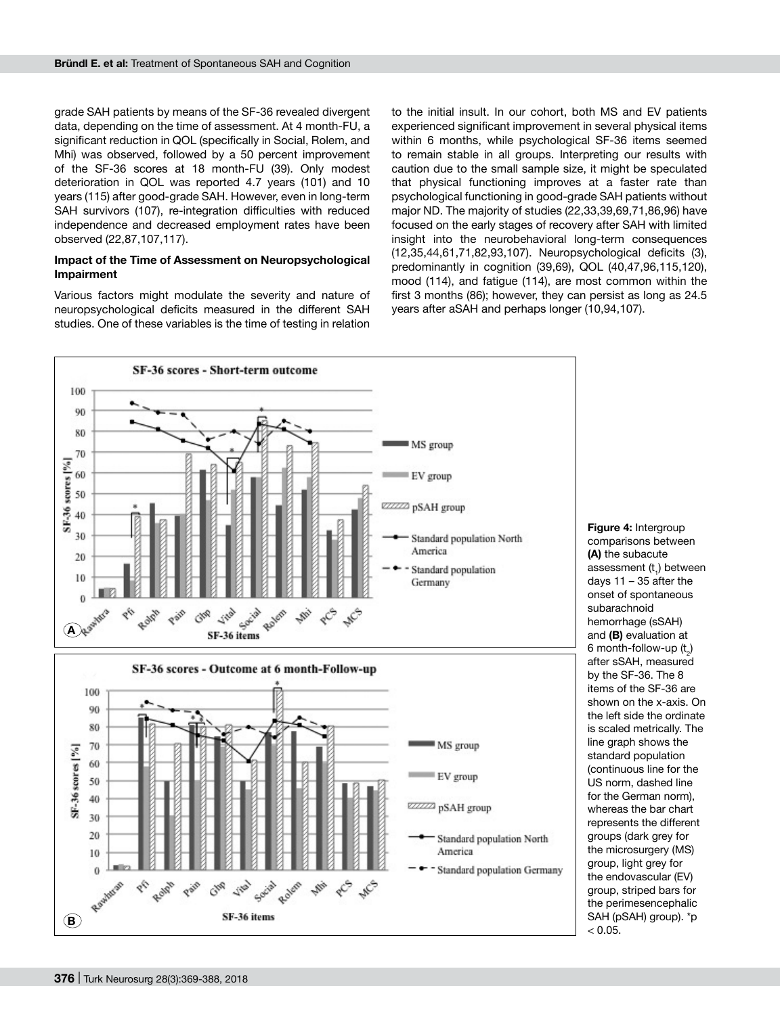grade SAH patients by means of the SF-36 revealed divergent data, depending on the time of assessment. At 4 month-FU, a significant reduction in QOL (specifically in Social, Rolem, and Mhi) was observed, followed by a 50 percent improvement of the SF-36 scores at 18 month-FU (39). Only modest deterioration in QOL was reported 4.7 years (101) and 10 years (115) after good-grade SAH. However, even in long-term SAH survivors (107), re-integration difficulties with reduced independence and decreased employment rates have been observed (22,87,107,117).

#### **Impact of the Time of Assessment on Neuropsychological Impairment**

Various factors might modulate the severity and nature of neuropsychological deficits measured in the different SAH studies. One of these variables is the time of testing in relation

to the initial insult. In our cohort, both MS and EV patients experienced significant improvement in several physical items within 6 months, while psychological SF-36 items seemed to remain stable in all groups. Interpreting our results with caution due to the small sample size, it might be speculated that physical functioning improves at a faster rate than psychological functioning in good-grade SAH patients without major ND. The majority of studies (22,33,39,69,71,86,96) have focused on the early stages of recovery after SAH with limited insight into the neurobehavioral long-term consequences (12,35,44,61,71,82,93,107). Neuropsychological deficits (3), predominantly in cognition (39,69), QOL (40,47,96,115,120), mood (114), and fatigue (114), are most common within the first 3 months (86); however, they can persist as long as 24.5 years after aSAH and perhaps longer (10,94,107).



**Figure 4:** Intergroup comparisons between **(A)** the subacute assessment (t<sub>1</sub>) between days 11 – 35 after the onset of spontaneous subarachnoid hemorrhage (sSAH) and **(B)** evaluation at 6 month-follow-up  $(\mathfrak{t}_2)$ after sSAH, measured by the SF-36. The 8 items of the SF-36 are shown on the x-axis. On the left side the ordinate is scaled metrically. The line graph shows the standard population (continuous line for the US norm, dashed line for the German norm), whereas the bar chart represents the different groups (dark grey for the microsurgery (MS) group, light grey for the endovascular (EV) group, striped bars for the perimesencephalic SAH (pSAH) group). \*p  $< 0.05$ .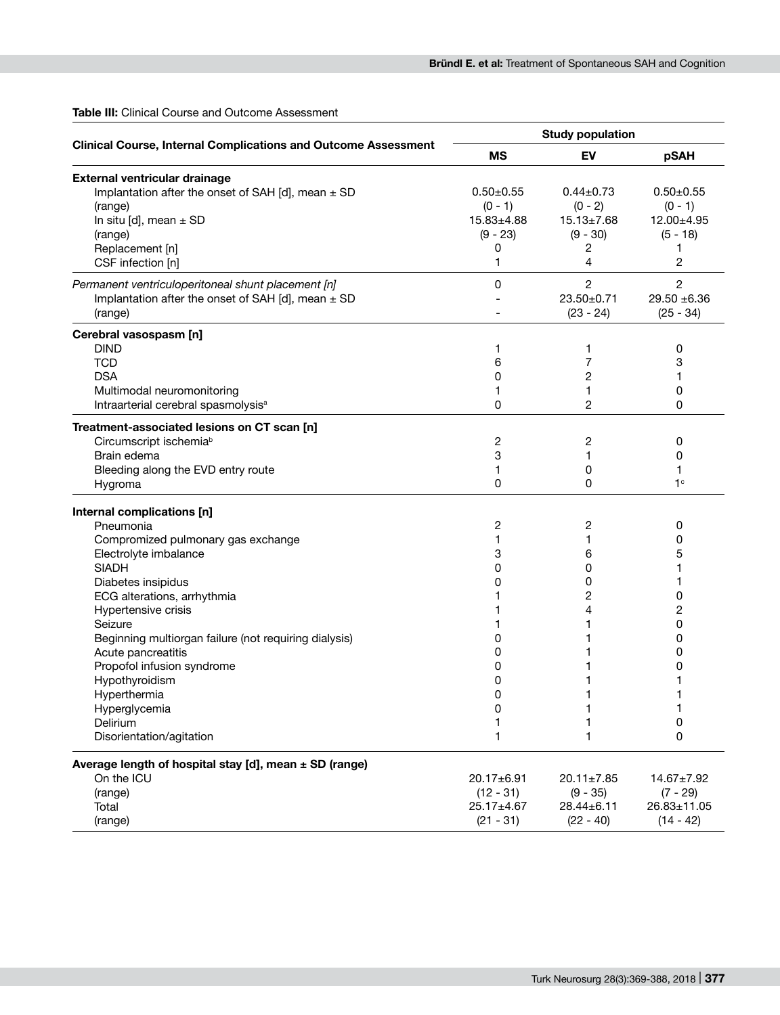# **Table III:** Clinical Course and Outcome Assessment

|                                                                       |                  | <b>Study population</b> |                  |
|-----------------------------------------------------------------------|------------------|-------------------------|------------------|
| <b>Clinical Course, Internal Complications and Outcome Assessment</b> | <b>MS</b>        | EV                      | pSAH             |
| External ventricular drainage                                         |                  |                         |                  |
| Implantation after the onset of SAH [d], mean $\pm$ SD                | $0.50 + 0.55$    | $0.44 \pm 0.73$         | $0.50 + 0.55$    |
| (range)                                                               | $(0 - 1)$        | $(0 - 2)$               | $(0 - 1)$        |
| In situ [d], mean $\pm$ SD                                            | $15.83{\pm}4.88$ | $15.13 \pm 7.68$        | 12.00±4.95       |
| (range)                                                               | $(9 - 23)$       | $(9 - 30)$              | $(5 - 18)$       |
| Replacement [n]                                                       | 0                | 2                       | 1                |
| CSF infection [n]                                                     | 1                | 4                       | 2                |
| Permanent ventriculoperitoneal shunt placement [n]                    | 0                | $\overline{c}$          | 2                |
| Implantation after the onset of SAH [d], mean $\pm$ SD                |                  | 23.50±0.71              | $29.50 + 6.36$   |
| (range)                                                               |                  | $(23 - 24)$             | $(25 - 34)$      |
| Cerebral vasospasm [n]                                                |                  |                         |                  |
| <b>DIND</b>                                                           | 1                | 1                       | 0                |
| <b>TCD</b>                                                            | 6                | 7                       | 3                |
| <b>DSA</b>                                                            | 0                | 2                       | 1                |
| Multimodal neuromonitoring                                            | 1                | 1                       | 0                |
| Intraarterial cerebral spasmolysis <sup>a</sup>                       | 0                | $\overline{c}$          | 0                |
| Treatment-associated lesions on CT scan [n]                           |                  |                         |                  |
| Circumscript ischemia <sup>b</sup>                                    | 2                | 2                       | 0                |
| Brain edema                                                           | 3                | 1                       | 0                |
| Bleeding along the EVD entry route                                    | 1                | 0                       | 1                |
| Hygroma                                                               | 0                | 0                       | 1 <sup>c</sup>   |
| Internal complications [n]                                            |                  |                         |                  |
| Pneumonia                                                             | 2                | 2                       | 0                |
| Compromized pulmonary gas exchange                                    |                  | 1                       | 0                |
| Electrolyte imbalance                                                 | 3                | 6                       | 5                |
| <b>SIADH</b>                                                          | 0                | 0                       | 1                |
| Diabetes insipidus                                                    | 0                | 0                       | 1                |
| ECG alterations, arrhythmia                                           |                  | 2                       | 0                |
| Hypertensive crisis                                                   |                  | 4                       | 2                |
| Seizure                                                               |                  | 1                       | 0                |
| Beginning multiorgan failure (not requiring dialysis)                 | 0                | 1                       | 0                |
| Acute pancreatitis                                                    | 0                | 1                       | 0                |
| Propofol infusion syndrome                                            | 0                |                         | 0                |
| Hypothyroidism                                                        | 0                |                         | 1                |
| Hyperthermia                                                          | n                |                         |                  |
| Hyperglycemia                                                         | 0                | 1                       | 1                |
| Delirium                                                              | 1                | 1                       | 0                |
| Disorientation/agitation                                              | 1                | 1                       | 0                |
| Average length of hospital stay [d], mean ± SD (range)                |                  |                         |                  |
| On the ICU                                                            | $20.17 + 6.91$   | $20.11 \pm 7.85$        | $14.67 \pm 7.92$ |
| (range)                                                               | $(12 - 31)$      | $(9 - 35)$              | $(7 - 29)$       |
| Total                                                                 | 25.17±4.67       | 28.44±6.11              | 26.83±11.05      |
| (range)                                                               | $(21 - 31)$      | $(22 - 40)$             | $(14 - 42)$      |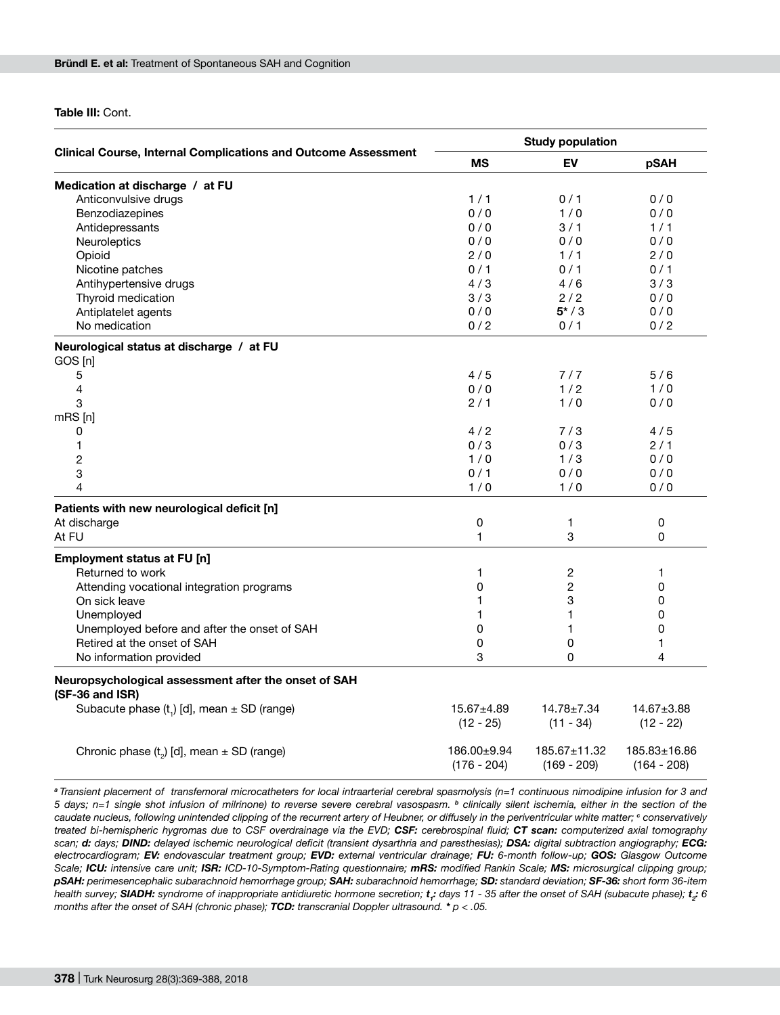**Table III:** Cont.

|                                                                         |                              | <b>Study population</b>         |                                 |
|-------------------------------------------------------------------------|------------------------------|---------------------------------|---------------------------------|
| <b>Clinical Course, Internal Complications and Outcome Assessment</b>   | <b>MS</b>                    | EV                              | pSAH                            |
| Medication at discharge / at FU                                         |                              |                                 |                                 |
| Anticonvulsive drugs                                                    | 1/1                          | 0/1                             | 0/0                             |
| Benzodiazepines                                                         | 0/0                          | 1/0                             | 0/0                             |
| Antidepressants                                                         | 0/0                          | 3/1                             | 1/1                             |
| Neuroleptics                                                            | 0/0                          | 0/0                             | 0/0                             |
| Opioid                                                                  | 2/0                          | 1/1                             | 2/0                             |
| Nicotine patches                                                        | 0/1                          | 0/1                             | 0/1                             |
| Antihypertensive drugs                                                  | 4/3                          | 4/6                             | 3/3                             |
| Thyroid medication                                                      | 3/3                          | 2/2                             | 0/0                             |
| Antiplatelet agents                                                     | 0/0                          | $5*/3$                          | 0/0                             |
| No medication                                                           | 0/2                          | 0/1                             | 0/2                             |
|                                                                         |                              |                                 |                                 |
| Neurological status at discharge / at FU<br>GOS [n]                     |                              |                                 |                                 |
| 5                                                                       | 4/5                          | 7/7                             | 5/6                             |
| 4                                                                       | 0/0                          | 1/2                             | 1/0                             |
| 3                                                                       | 2/1                          | 1/0                             | 0/0                             |
|                                                                         |                              |                                 |                                 |
| $mRS$ [n]                                                               |                              |                                 |                                 |
| 0                                                                       | 4/2                          | 7/3                             | 4/5                             |
| 1                                                                       | 0/3                          | 0/3                             | 2/1                             |
| $\overline{\mathbf{c}}$                                                 | 1/0                          | 1/3                             | 0/0                             |
| 3                                                                       | 0/1                          | 0/0                             | 0/0                             |
| 4                                                                       | 1/0                          | 1/0                             | 0/0                             |
| Patients with new neurological deficit [n]                              |                              |                                 |                                 |
| At discharge                                                            | 0                            | 1                               | 0                               |
| At FU                                                                   | $\mathbf{1}$                 | 3                               | 0                               |
| Employment status at FU [n]                                             |                              |                                 |                                 |
| Returned to work                                                        | 1                            | $\overline{c}$                  | 1                               |
| Attending vocational integration programs                               | 0                            | $\overline{c}$                  | 0                               |
| On sick leave                                                           | 1                            | 3                               | 0                               |
| Unemployed                                                              | 1                            | 1                               | 0                               |
| Unemployed before and after the onset of SAH                            | 0                            | 1                               | 0                               |
| Retired at the onset of SAH                                             | 0                            | 0                               | 1                               |
| No information provided                                                 | 3                            | 0                               | 4                               |
|                                                                         |                              |                                 |                                 |
| Neuropsychological assessment after the onset of SAH<br>(SF-36 and ISR) |                              |                                 |                                 |
| Subacute phase $(t_1)$ [d], mean $\pm$ SD (range)                       | 15.67±4.89<br>$(12 - 25)$    | $14.78 \pm 7.34$<br>$(11 - 34)$ | $14.67 \pm 3.88$<br>$(12 - 22)$ |
| Chronic phase $(t_2)$ [d], mean $\pm$ SD (range)                        | 186.00±9.94<br>$(176 - 204)$ | 185.67±11.32<br>$(169 - 209)$   | 185.83±16.86<br>$(164 - 208)$   |

*<sup>a</sup>Transient placement of transfemoral microcatheters for local intraarterial cerebral spasmolysis (n=1 continuous nimodipine infusion for 3 and 5 days; n=1 single shot infusion of milrinone) to reverse severe cerebral vasospasm. <sup>b</sup> clinically silent ischemia, either in the section of the caudate nucleus, following unintended clipping of the recurrent artery of Heubner, or diffusely in the periventricular white matter; <sup>c</sup> conservatively treated bi-hemispheric hygromas due to CSF overdrainage via the EVD; CSF: cerebrospinal fluid; CT scan: computerized axial tomography scan; d: days; DIND: delayed ischemic neurological deficit (transient dysarthria and paresthesias); DSA: digital subtraction angiography; ECG: electrocardiogram; EV: endovascular treatment group; EVD: external ventricular drainage; FU: 6-month follow-up; GOS: Glasgow Outcome Scale; ICU: intensive care unit; ISR: ICD-10-Symptom-Rating questionnaire; mRS: modified Rankin Scale; MS: microsurgical clipping group; pSAH: perimesencephalic subarachnoid hemorrhage group; SAH: subarachnoid hemorrhage; SD: standard deviation; SF-36: short form 36-item*  health survey; **SIADH:** syndrome of inappropriate antidiuretic hormone secretion;  $t$ ; days 11 - 35 after the onset of SAH (subacute phase);  $t$ <sub>2</sub>: 6 *months after the onset of SAH (chronic phase); TCD: transcranial Doppler ultrasound. \* p < .05.*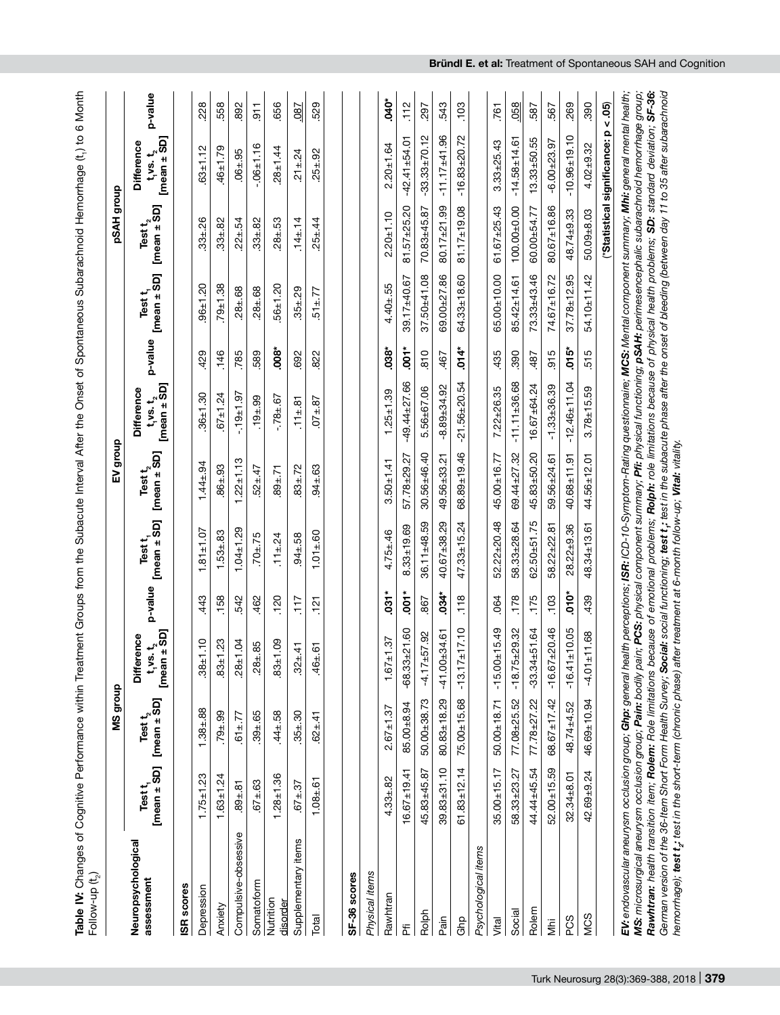|                                                                                                                                                                                                                                                                                                                                                                                                                                                                                                                                                                                                                                                                                                                                                              |                          | MS group                      |                                                                 |            |                         | dhoub<br>밍                      |                                                         |            |                         | pSAH group                    |                                                  |                 |
|--------------------------------------------------------------------------------------------------------------------------------------------------------------------------------------------------------------------------------------------------------------------------------------------------------------------------------------------------------------------------------------------------------------------------------------------------------------------------------------------------------------------------------------------------------------------------------------------------------------------------------------------------------------------------------------------------------------------------------------------------------------|--------------------------|-------------------------------|-----------------------------------------------------------------|------------|-------------------------|---------------------------------|---------------------------------------------------------|------------|-------------------------|-------------------------------|--------------------------------------------------|-----------------|
| Neuropsychological<br>assessment                                                                                                                                                                                                                                                                                                                                                                                                                                                                                                                                                                                                                                                                                                                             | $[mean + SD]$<br>Test t, | $[mean \pm SD]$<br>Test $t_2$ | $t_1$ vs. $t_2$<br>nean $\pm$ SD]<br><b>Difference</b><br>[mean | p-value    | $[mean + SD]$<br>Test t | $[mean \pm SD]$<br>Test $t_{2}$ | $[mean \pm SD]$<br><b>Difference</b><br>$t_1$ vs. $t_2$ | p-value    | $[mean + SD]$<br>Test t | $[mean \pm SD]$<br>Test $t_2$ | $[mean \pm SD]$<br>Difference<br>$t_1$ vs. $t_2$ | p-value         |
| ISR scores                                                                                                                                                                                                                                                                                                                                                                                                                                                                                                                                                                                                                                                                                                                                                   |                          |                               |                                                                 |            |                         |                                 |                                                         |            |                         |                               |                                                  |                 |
| Depression                                                                                                                                                                                                                                                                                                                                                                                                                                                                                                                                                                                                                                                                                                                                                   | $1.75 \pm 1.23$          | $1.38 + .88$                  | $\overline{10}$<br>$-38 + 1$                                    | 443        | $1.81 \pm 1.07$         | $1.44 \pm .94$                  | $36 + 1.30$                                             | 429        | $96 \pm 1.20$           | $.33 + .26$                   | $.63 + 1.12$                                     | 228             |
| Anxiety                                                                                                                                                                                                                                                                                                                                                                                                                                                                                                                                                                                                                                                                                                                                                      | $1.63 + 1.24$            | $.79 + .99$                   | 23<br>$-83 + 1$                                                 | .158       | $1.53 + 83$             | $86_{\pm}.93$                   | $67 + 1.24$                                             | .146       | $79 + 1.38$             | $.33 + .82$                   | $46 + 1.79$                                      | 558             |
| Compulsive-obsessive                                                                                                                                                                                                                                                                                                                                                                                                                                                                                                                                                                                                                                                                                                                                         | $.89 + .81$              | $51 + 77$                     | S.<br>$-28 + 1$                                                 | 542        | $1.04 \pm 1.29$         | $1.22 \pm 1.13$                 | $-19 + 1.97$                                            | 785        | $.28 + .68$             | $.22 \pm .54$                 | $.06 + .95$                                      | 892             |
| Somatoform                                                                                                                                                                                                                                                                                                                                                                                                                                                                                                                                                                                                                                                                                                                                                   | $.67 \pm .63$            | $.39 + .65$                   | 85<br>$28 +$                                                    | 462        | $.70 + .75$             | $52 \pm .47$                    | $.19 + .99$                                             | 589        | $28 + 68$               | $.33 + .82$                   | $-06 + 1.16$                                     | $-911$          |
| Nutrition<br>disorder                                                                                                                                                                                                                                                                                                                                                                                                                                                                                                                                                                                                                                                                                                                                        | $1.28 + 1.36$            | $.44 + .58$                   | SÒ<br>$.83 + 1$                                                 | 120        | $.11 \pm .24$           | $.89 + .71$                     | $-78 + 67$                                              | <b>800</b> | $56 + 1.20$             | $.28 + .53$                   | $28 + 1.44$                                      | 656             |
| Supplementary items                                                                                                                                                                                                                                                                                                                                                                                                                                                                                                                                                                                                                                                                                                                                          | $.67 \pm .37$            | $.35 + .30$                   | $\dot{4}$<br>$32 +$                                             | 717        | $.94 + .58$             | $.83 + .72$                     | $11 \pm .81$                                            | 692        | $35 + 29$               | $.14 \pm .14$                 | $.21 \pm .24$                                    | <b>187</b>      |
| Total                                                                                                                                                                                                                                                                                                                                                                                                                                                                                                                                                                                                                                                                                                                                                        | 6<br>$1.08 +$            | $62 + 41$                     | 61<br>46 <sup>±</sup>                                           | $-121$     | $1.01 + 60$             | $94 \pm .63$                    | $07 + 87$                                               | 822        | $51 \pm 77$             | $.25 \pm .44$                 | $.25 \pm .92$                                    | 529             |
| Physical items                                                                                                                                                                                                                                                                                                                                                                                                                                                                                                                                                                                                                                                                                                                                               |                          |                               |                                                                 |            |                         |                                 |                                                         |            |                         |                               |                                                  |                 |
| SF-36 scores                                                                                                                                                                                                                                                                                                                                                                                                                                                                                                                                                                                                                                                                                                                                                 |                          |                               |                                                                 |            |                         |                                 |                                                         |            |                         |                               |                                                  |                 |
| Rawhtran                                                                                                                                                                                                                                                                                                                                                                                                                                                                                                                                                                                                                                                                                                                                                     | $4.33 + .82$             | $2.67 \pm 1.37$               | $1.67 \pm 1.37$                                                 | $031*$     | $4.75 + .46$            | $3.50 + 1.41$                   | $1.25 \pm 1.39$                                         | $038*$     | $4.40 + .55$            | $2.20 + 1.10$                 | $2.20 + 1.64$                                    | $\ddot{\theta}$ |
| ΣЕ                                                                                                                                                                                                                                                                                                                                                                                                                                                                                                                                                                                                                                                                                                                                                           | $16.67 \pm 19.41$        | 85.00±8.94                    | $-68.33 + 21.60$                                                | $.001*$    | $8.33 + 19.69$          | 57.78±29.27                     | $-49.44 + 27.66$                                        | $.001*$    | 39.17±40.67             | $81.57 + 25.20$               | $-42.41 + 54.01$                                 | .112            |
| Rolph                                                                                                                                                                                                                                                                                                                                                                                                                                                                                                                                                                                                                                                                                                                                                        | 45.83±45.87              | 50.00±38.73                   | $-4.17 + 57.92$                                                 | .867       | $36.11 \pm 48.59$       | $30.56 + 46.40$                 | 5.56±67.06                                              | 810        | $37.50 + 41.08$         | 70.83±45.87                   | $-33.33 \pm 70.12$                               | .297            |
| Pain                                                                                                                                                                                                                                                                                                                                                                                                                                                                                                                                                                                                                                                                                                                                                         | $39.83 + 31.10$          | $80.83 \pm 18.29$             | $-41.00 + 34.61$                                                | $.034*$    | $40.67 + 38.29$         | 49.56±33.21                     | $-8.89 + 34.92$                                         | 467        | $69.00 + 27.86$         | $80.17 \pm 21.99$             | $-11.17 + 41.96$                                 | 543             |
| Ghp                                                                                                                                                                                                                                                                                                                                                                                                                                                                                                                                                                                                                                                                                                                                                          | $61.83 \pm 12.14$        | 75.00±15.68                   | $-13.17 + 17.10$                                                | .118       | $47.33 \pm 15.24$       | $68.89 + 19.46$                 | $-21.56 + 20.54$                                        | $.014*$    | $64.33 \pm 18.60$       | $81.17 \pm 19.08$             | $-16.83 + 20.72$                                 | 103             |
| Psychological items                                                                                                                                                                                                                                                                                                                                                                                                                                                                                                                                                                                                                                                                                                                                          |                          |                               |                                                                 |            |                         |                                 |                                                         |            |                         |                               |                                                  |                 |
| Vital                                                                                                                                                                                                                                                                                                                                                                                                                                                                                                                                                                                                                                                                                                                                                        | $35.00 + 15.17$          | 50.00±18.71                   | $-15.00 + 15.49$                                                | 064        | $52.22 \pm 20.48$       | 45.00±16.77                     | $7.22 + 26.35$                                          | 435        | 65.00±10.00             | $61.67 + 25.43$               | $3.33 + 25.43$                                   | 761             |
| Social                                                                                                                                                                                                                                                                                                                                                                                                                                                                                                                                                                                                                                                                                                                                                       | 58.33±23.27              | 77.08±25.52                   | $-29.32$<br>$-18.75 +$                                          | .178       | 58.33±28.64             | 69.44±27.32                     | $-11.11 \pm 36.68$                                      | <b>390</b> | $85.42 \pm 14.61$       | 100.00±0.00                   | $-14.58 + 14.61$                                 | 058             |
| Rolem                                                                                                                                                                                                                                                                                                                                                                                                                                                                                                                                                                                                                                                                                                                                                        | 44.44±45.54              | $77.78 + 27.22$               | $-51.64$<br>$-33.34+$                                           | .175       | $62.50 + 51.75$         | 45.83±50.20                     | $16.67 + 64.24$                                         | -487       | $73.33 \pm 43.46$       | $60.00 + 54.77$               | $13.33 + 50.55$                                  | 587             |
| Š                                                                                                                                                                                                                                                                                                                                                                                                                                                                                                                                                                                                                                                                                                                                                            | $52.00 + 15.59$          | $68.67 \pm 17.42$             | $-16.67 + 20.46$                                                | <b>103</b> | $58.22 \pm 22.81$       | 59.56±24.61                     | $-1.33 + 36.39$                                         | 915        | 74.67±16.72             | 80.67±16.86                   | $-6.00 + 23.97$                                  | 567             |
| PCS                                                                                                                                                                                                                                                                                                                                                                                                                                                                                                                                                                                                                                                                                                                                                          | $32.34 + 8.01$           | 48.74±4.52                    | $-16.41 \pm 10.05$                                              | òro.       | $28.22 + 9.36$          | $40.68 + 11.91$                 | $-12.46 \pm 11.04$                                      | $.015*$    | $37.78 + 12.95$         | 48.74±9.33                    | $-10.96 + 19.10$                                 | 269             |
| <b>MCS</b>                                                                                                                                                                                                                                                                                                                                                                                                                                                                                                                                                                                                                                                                                                                                                   | $42.69 + 9.24$           | 46.69±10.94                   | $-4.01 + 11.68$                                                 | 439        | $48.34 \pm 13.61$       | 44.56±12.01                     | $3.78 + 15.59$                                          | 515        | $54.10 + 11.42$         | 50.09±8.03                    | $4.02 + 9.32$                                    | 390             |
|                                                                                                                                                                                                                                                                                                                                                                                                                                                                                                                                                                                                                                                                                                                                                              |                          |                               |                                                                 |            |                         |                                 |                                                         |            |                         |                               | (*Statistical significance: p < .05)             |                 |
| German version of the 36-Item Short Form Health Survey; Social social functioning; test tr, test in the subacute phase after the onset of bleeding (between day 11 to 35 after subarachnoid<br>Rawhtran: health transition item; Rolem: Role limitations because of emotional problems; Rolph: role limitations because of physical health problems; SD: standard deviation; SF-36:<br>EV: endovascular aneurysm occlusion group; Ghp: general health perceptions; ISR: ICD-10-Symptom-Rating questionnaire; MCS: Mental component summary; Mhi: general mental health;<br>MS: microsurgical aneurysm occlusion group; Pain: bodily pain; PCS: physical component summary; Pfi: physical functioning; pSAH: perimesencephalic subarachnoid hemorrhage group; |                          |                               |                                                                 |            |                         |                                 |                                                         |            |                         |                               |                                                  |                 |

Turk Neurosurg 28(3):369-388, 2018 | **379**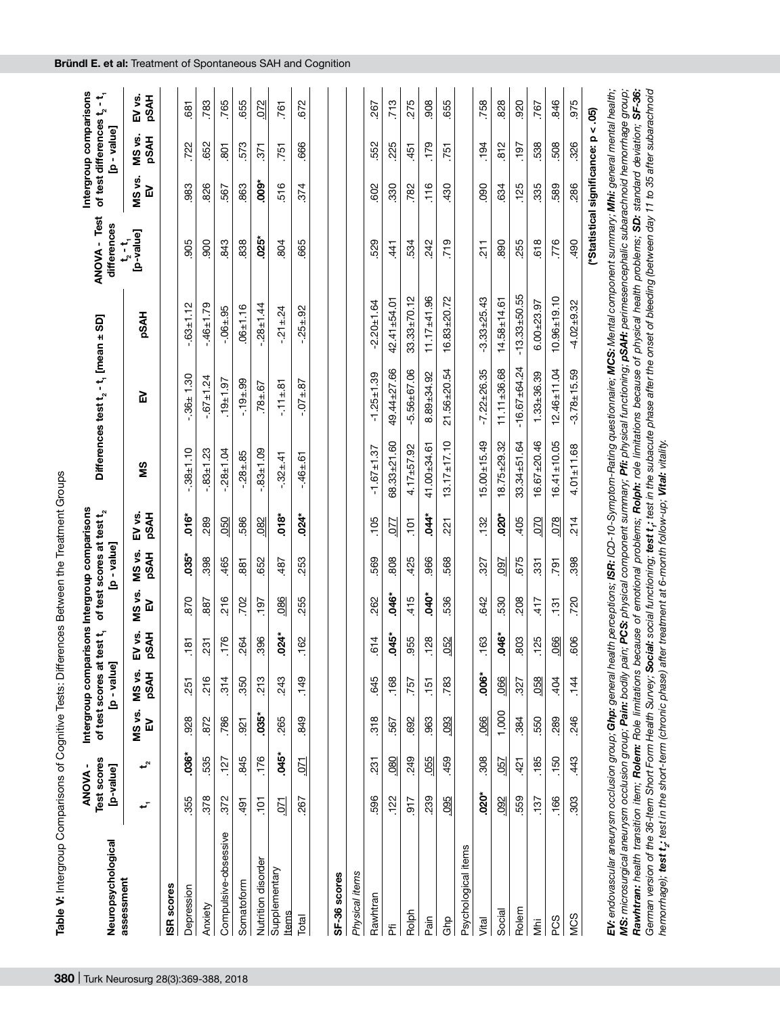| Neuropsychological                                                                                                                                                                      | Test scores<br><b>ANOVA-</b><br>[p-value] |                |             | of test scores at test t <sub>i</sub><br>[ənlɛʌ - d] | Intergroup comparisons Intergroup comparisons |                 | of test scores at test t <sub>2</sub><br>[ənləv - q] |                       |                   | Differences test t <sub>2</sub> - t <sub>1</sub> [mean ± SD] |                   | <b>ANOVA - Test</b><br>differences   |             | Intergroup comparisons<br>of test differences ${\sf t}_2$<br>[ənləv - q] | سمب<br>ا              |
|-----------------------------------------------------------------------------------------------------------------------------------------------------------------------------------------|-------------------------------------------|----------------|-------------|------------------------------------------------------|-----------------------------------------------|-----------------|------------------------------------------------------|-----------------------|-------------------|--------------------------------------------------------------|-------------------|--------------------------------------|-------------|--------------------------------------------------------------------------|-----------------------|
| assessment                                                                                                                                                                              | سم                                        | ⊷              | MS vs.<br>밍 | MS vs.<br><b>PSAH</b>                                | EV vs.<br><b>PSAH</b>                         | MS vs.<br>밄     | MS vs.<br><b>PSAH</b>                                | <b>PSAH</b><br>EV vs. | SM                | 밍                                                            | <b>HVSdd</b>      | [p-value]<br>$t_{2}$ – $t_{1}$       | MS vs.<br>모 | MS vs.<br><b>PSAH</b>                                                    | EV vs.<br><b>PSAH</b> |
| ISR scores                                                                                                                                                                              |                                           |                |             |                                                      |                                               |                 |                                                      |                       |                   |                                                              |                   |                                      |             |                                                                          |                       |
| Depression                                                                                                                                                                              | 355                                       | $.036*$        | 928         | 251                                                  | 181                                           | 870             | $.035*$                                              | $.016*$               | $-.38 + 1.10$     | $-36 + 1.30$                                                 | $-03 + 1.12$      | 905                                  | 983         | 722                                                                      | 681                   |
| Anxiety                                                                                                                                                                                 | 378                                       | 535            | 872         | 216                                                  | 231                                           | 887             | 398                                                  | 289                   | $-0.83 + 1.23$    | $-0.67 \pm 1.24$                                             | $-46 \pm 1.79$    | 900                                  | 826         | 652                                                                      | 783                   |
| Compulsive-obsessive                                                                                                                                                                    | 372                                       | .127           | 786         | 314                                                  | 176                                           | 216             | 465                                                  | 050                   | $-28 + 1.04$      | $.19 + 1.97$                                                 | $-06 + 95$        | 843                                  | 567         | $\overline{8}$                                                           | 765                   |
| Somatoform                                                                                                                                                                              | 491                                       | 845            | 921         | 350                                                  | 264                                           | 702             | 881                                                  | 586                   | $-28 + 85$        | $-19 + 99$                                                   | $06 + 1.16$       | 838                                  | 863         | 573                                                                      | 655                   |
| Nutrition disorder                                                                                                                                                                      | $\overline{5}$                            | .176           | $035*$      | 213                                                  | 396                                           | $-197$          | 652                                                  | 082                   | $-0.1 + 0.09$     | $78 + 67$                                                    | $-28 + 1.44$      | $.025*$                              | $.009*$     | 371                                                                      | 072                   |
| Supplementary<br><b>Items</b>                                                                                                                                                           | $\overline{C}$                            | $.045*$        | 265         | 243                                                  | $.024*$                                       | 086             | 487                                                  | $.018*$               | $-.32 \pm .41$    | $-11 \pm .81$                                                | $-21 \pm 24$      | 804                                  | 516         | 751                                                                      | 761                   |
| Total                                                                                                                                                                                   | 267                                       | $\overline{5}$ | 849         | .149                                                 | 162                                           | 255             | 253                                                  | $.024*$               | $-46 + 61$        | $-0.14.87$                                                   | $-25 + 92$        | 665                                  | 374         | .666                                                                     | 672                   |
|                                                                                                                                                                                         |                                           |                |             |                                                      |                                               |                 |                                                      |                       |                   |                                                              |                   |                                      |             |                                                                          |                       |
| SF-36 scores                                                                                                                                                                            |                                           |                |             |                                                      |                                               |                 |                                                      |                       |                   |                                                              |                   |                                      |             |                                                                          |                       |
| Physical items                                                                                                                                                                          |                                           |                |             |                                                      |                                               |                 |                                                      |                       |                   |                                                              |                   |                                      |             |                                                                          |                       |
| Rawhtran                                                                                                                                                                                | .596                                      | 231            | 318         | 845                                                  | 614                                           | 262             | 569                                                  | <b>105</b>            | $-1.67 + 1.37$    | $-1.25 \pm 1.39$                                             | $-2.20 + 1.64$    | 529                                  | 602         | 552                                                                      | 267                   |
| ۴Ï                                                                                                                                                                                      | 122                                       | $\frac{80}{2}$ | 567         | .168                                                 | .045*                                         | .046*           | 808                                                  | $\overline{22}$       | 68.33±21.60       | 49.44±27.66                                                  | $42.41 + 54.01$   | 441                                  | 330         | 225                                                                      | 713                   |
| Rolph                                                                                                                                                                                   | $-917$                                    | 249            | 692         | 757                                                  | 955                                           | 415             | 425                                                  | $\frac{5}{10}$        | $4.17 + 57.92$    | $-5.56 + 67.06$                                              | $33.33 \pm 70.12$ | 534                                  | 782         | 451                                                                      | 275                   |
| Pain                                                                                                                                                                                    | 239                                       | .055           | 963         | .151                                                 | <b>128</b>                                    | $-040$          | 966                                                  | $.044*$               | 41.00±34.61       | $8.89 + 34.92$                                               | $11.17 + 41.96$   | 242                                  | .116        | .179                                                                     | 908                   |
| ලි<br>ල                                                                                                                                                                                 | 095                                       | 459            | 093         | 783                                                  | .052                                          | 536             | 568                                                  | 221                   | $13.17 \pm 17.10$ | $21.56 + 20.54$                                              | $16.83 + 20.72$   | 719                                  | 430         | 751                                                                      | 655                   |
| Psychological items                                                                                                                                                                     |                                           |                |             |                                                      |                                               |                 |                                                      |                       |                   |                                                              |                   |                                      |             |                                                                          |                       |
| Vital                                                                                                                                                                                   | $.020*$                                   | 308            | .066        | $.006*$                                              | 163                                           | 642             | 327                                                  | 132                   | $5.00 + 15.49$    | $-7.22 \pm 26.35$                                            | $-3.33 + 25.43$   | 211                                  | 80          | 194                                                                      | 758                   |
| Social                                                                                                                                                                                  | 092                                       | 057            | 1,000       | .066                                                 | .046*                                         | 530             | 097                                                  | $.020*$               | $18.75 + 29.32$   | $11.11 \pm 36.68$                                            | $14.58 + 14.61$   | 890                                  | 634         | 812                                                                      | 828                   |
| Rolem                                                                                                                                                                                   | 559                                       | 421            | .384        | 327                                                  | 803                                           | 208             | 675                                                  | 405                   | $33.34 + 51.64$   | $-16.67 + 64.24$                                             | $-13.33 + 50.55$  | 255                                  | <b>125</b>  | T6L                                                                      | 920                   |
| ΪÄ                                                                                                                                                                                      | <sup>137</sup>                            | .185           | 550         | .058                                                 | 125                                           | 417             | 331                                                  | 070                   | $16.67 + 20.46$   | $1.33 + 36.39$                                               | $6.00 + 23.97$    | 618                                  | 335         | 538                                                                      | 767                   |
| PCS                                                                                                                                                                                     | .166                                      | .150           | 289         | .404                                                 | 066                                           | $\frac{131}{2}$ | <b>791</b>                                           | 078                   | $6.41 \pm 10.05$  | $12.46 \pm 11.04$                                            | $10.96 + 19.10$   | .776                                 | 589         | 508                                                                      | 846                   |
| <b>MCS</b>                                                                                                                                                                              | 303                                       | 443            | 246         | .144                                                 | 606                                           | 720             | 398                                                  | 214                   | $4.01 + 11.68$    | $-3.78 + 15.59$                                              | $-4.02 + 9.32$    | .490                                 | 286         | 326                                                                      | 975                   |
|                                                                                                                                                                                         |                                           |                |             |                                                      |                                               |                 |                                                      |                       |                   |                                                              |                   | (*Statistical significance: p < .05) |             |                                                                          |                       |
| EV: endovascular aneurysm occlusion group; <b>Ghp:</b> general health perceptions; ISR: ICD-10-Symptom-Rating questionnaire; MCS: Mental component summary; Mhi: general mental health; |                                           |                |             |                                                      |                                               |                 |                                                      |                       |                   |                                                              |                   |                                      |             |                                                                          |                       |

Table V: Intergroup Comparisons of Cognitive Tests: Differences Between the Treatment Groups **Table V:** Intergroup Comparisons of Cognitive Tests: Differences Between the Treatment Groups MS: microsurgical aneurysm occlusion group; **Pain:** bodily pain; **PCS:** physical component summary; **Pfi:** physical functioning; **pSAH:** perimesencephalic subarachnoid hemorrhage group;<br>**Rawhtran:** health transition item; MS: microsurgical aneurysm occlusion group; Pain; bodily pain; PCS: physical component summary; Pfi: physical functioning; pSAH: perimesencephalic subarachnoid hemorrhage group; *German version of the 36-Item Short Form Health Survey; Social: social functioning; test t1: test in the subacute phase after the onset of bleeding (between day 11 to 35 after subarachnoid*  Rawhtran: health transition item; Rolem: Role limitations because of emotional problems; Rolph: role limitations because of physical health problems; SD: standard deviation; SE-36: *hemorrhage); test t2: test in the short-term (chronic phase) after treatment at 6-month follow-up; Vital: vitality.*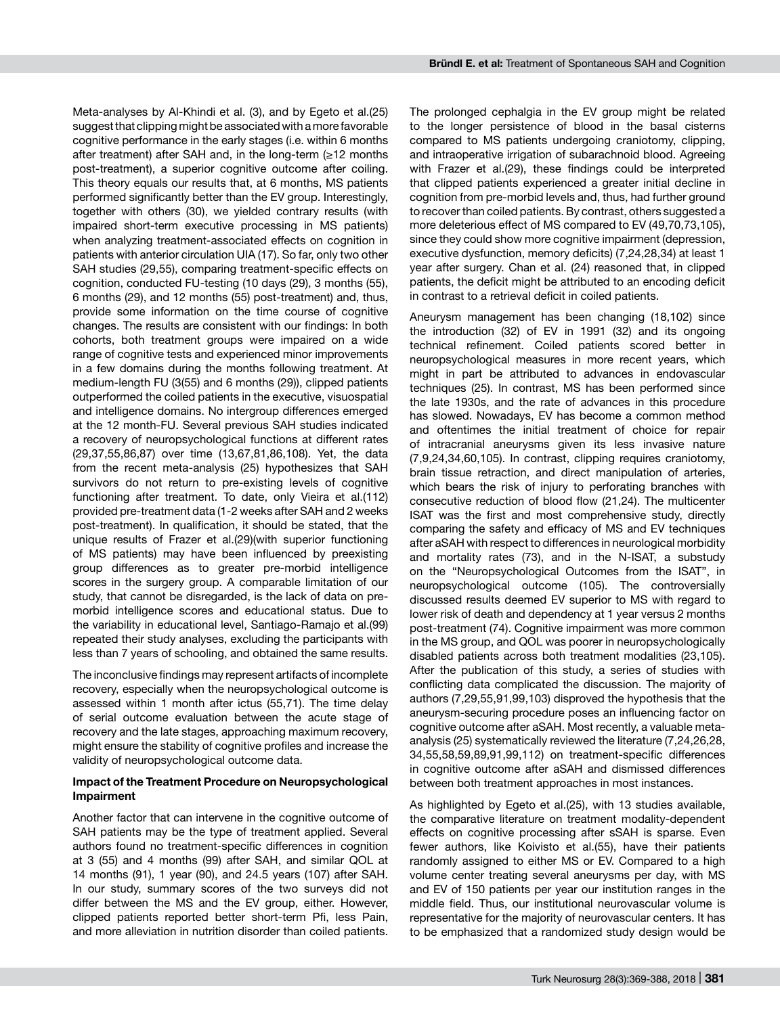Meta-analyses by Al-Khindi et al. (3), and by Egeto et al.(25) suggest that clipping might be associated with a more favorable cognitive performance in the early stages (i.e. within 6 months after treatment) after SAH and, in the long-term (≥12 months post-treatment), a superior cognitive outcome after coiling. This theory equals our results that, at 6 months, MS patients performed significantly better than the EV group. Interestingly, together with others (30), we yielded contrary results (with impaired short-term executive processing in MS patients) when analyzing treatment-associated effects on cognition in patients with anterior circulation UIA (17). So far, only two other SAH studies (29,55), comparing treatment-specific effects on cognition, conducted FU-testing (10 days (29), 3 months (55), 6 months (29), and 12 months (55) post-treatment) and, thus, provide some information on the time course of cognitive changes. The results are consistent with our findings: In both cohorts, both treatment groups were impaired on a wide range of cognitive tests and experienced minor improvements in a few domains during the months following treatment. At medium-length FU (3(55) and 6 months (29)), clipped patients outperformed the coiled patients in the executive, visuospatial and intelligence domains. No intergroup differences emerged at the 12 month-FU. Several previous SAH studies indicated a recovery of neuropsychological functions at different rates (29,37,55,86,87) over time (13,67,81,86,108). Yet, the data from the recent meta-analysis (25) hypothesizes that SAH survivors do not return to pre-existing levels of cognitive functioning after treatment. To date, only Vieira et al.(112) provided pre-treatment data (1-2 weeks after SAH and 2 weeks post-treatment). In qualification, it should be stated, that the unique results of Frazer et al.(29)(with superior functioning of MS patients) may have been influenced by preexisting group differences as to greater pre-morbid intelligence scores in the surgery group. A comparable limitation of our study, that cannot be disregarded, is the lack of data on premorbid intelligence scores and educational status. Due to the variability in educational level, Santiago-Ramajo et al.(99) repeated their study analyses, excluding the participants with less than 7 years of schooling, and obtained the same results.

The inconclusive findings may represent artifacts of incomplete recovery, especially when the neuropsychological outcome is assessed within 1 month after ictus (55,71). The time delay of serial outcome evaluation between the acute stage of recovery and the late stages, approaching maximum recovery, might ensure the stability of cognitive profiles and increase the validity of neuropsychological outcome data.

### **Impact of the Treatment Procedure on Neuropsychological Impairment**

Another factor that can intervene in the cognitive outcome of SAH patients may be the type of treatment applied. Several authors found no treatment-specific differences in cognition at 3 (55) and 4 months (99) after SAH, and similar QOL at 14 months (91), 1 year (90), and 24.5 years (107) after SAH. In our study, summary scores of the two surveys did not differ between the MS and the EV group, either. However, clipped patients reported better short-term Pfi, less Pain, and more alleviation in nutrition disorder than coiled patients.

The prolonged cephalgia in the EV group might be related to the longer persistence of blood in the basal cisterns compared to MS patients undergoing craniotomy, clipping, and intraoperative irrigation of subarachnoid blood. Agreeing with Frazer et al. (29), these findings could be interpreted that clipped patients experienced a greater initial decline in cognition from pre-morbid levels and, thus, had further ground to recover than coiled patients. By contrast, others suggested a more deleterious effect of MS compared to EV (49,70,73,105), since they could show more cognitive impairment (depression, executive dysfunction, memory deficits) (7,24,28,34) at least 1 year after surgery. Chan et al. (24) reasoned that, in clipped patients, the deficit might be attributed to an encoding deficit in contrast to a retrieval deficit in coiled patients.

Aneurysm management has been changing (18,102) since the introduction (32) of EV in 1991 (32) and its ongoing technical refinement. Coiled patients scored better in neuropsychological measures in more recent years, which might in part be attributed to advances in endovascular techniques (25). In contrast, MS has been performed since the late 1930s, and the rate of advances in this procedure has slowed. Nowadays, EV has become a common method and oftentimes the initial treatment of choice for repair of intracranial aneurysms given its less invasive nature (7,9,24,34,60,105). In contrast, clipping requires craniotomy, brain tissue retraction, and direct manipulation of arteries, which bears the risk of injury to perforating branches with consecutive reduction of blood flow (21,24). The multicenter ISAT was the first and most comprehensive study, directly comparing the safety and efficacy of MS and EV techniques after aSAH with respect to differences in neurological morbidity and mortality rates (73), and in the N-ISAT, a substudy on the "Neuropsychological Outcomes from the ISAT", in neuropsychological outcome (105). The controversially discussed results deemed EV superior to MS with regard to lower risk of death and dependency at 1 year versus 2 months post-treatment (74). Cognitive impairment was more common in the MS group, and QOL was poorer in neuropsychologically disabled patients across both treatment modalities (23,105). After the publication of this study, a series of studies with conflicting data complicated the discussion. The majority of authors (7,29,55,91,99,103) disproved the hypothesis that the aneurysm-securing procedure poses an influencing factor on cognitive outcome after aSAH. Most recently, a valuable metaanalysis (25) systematically reviewed the literature (7,24,26,28, 34,55,58,59,89,91,99,112) on treatment-specific differences in cognitive outcome after aSAH and dismissed differences between both treatment approaches in most instances.

As highlighted by Egeto et al.(25), with 13 studies available, the comparative literature on treatment modality-dependent effects on cognitive processing after sSAH is sparse. Even fewer authors, like Koivisto et al.(55), have their patients randomly assigned to either MS or EV. Compared to a high volume center treating several aneurysms per day, with MS and EV of 150 patients per year our institution ranges in the middle field. Thus, our institutional neurovascular volume is representative for the majority of neurovascular centers. It has to be emphasized that a randomized study design would be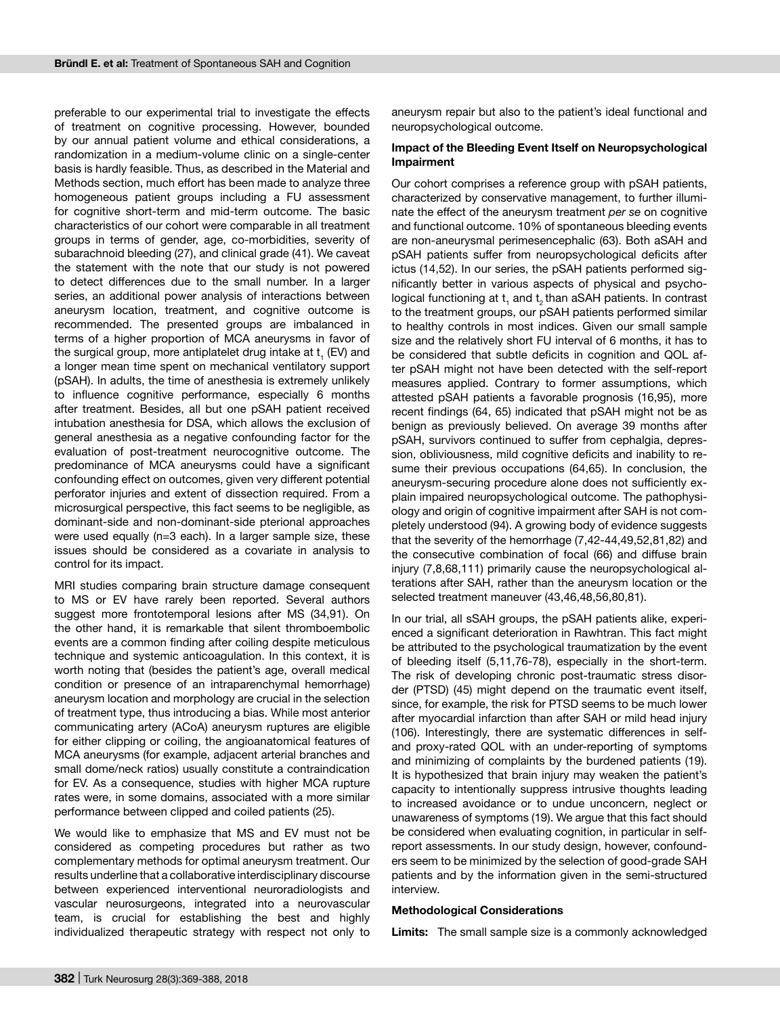preferable to our experimental trial to investigate the effects of treatment on cognitive processing. However, bounded by our annual patient volume and ethical considerations, a randomization in a medium-volume clinic on a single-center basis is hardly feasible. Thus, as described in the Material and Methods section, much effort has been made to analyze three homogeneous patient groups including a FU assessment for cognitive short-term and mid-term outcome. The basic characteristics of our cohort were comparable in all treatment groups in terms of gender, age, co-morbidities, severity of subarachnoid bleeding (27), and clinical grade (41). We caveat the statement with the note that our study is not powered to detect differences due to the small number. In a larger series, an additional power analysis of interactions between aneurysm location, treatment, and cognitive outcome is recommended. The presented groups are imbalanced in terms of a higher proportion of MCA aneurysms in favor of the surgical group, more antiplatelet drug intake at  ${\sf t}_\text{\tiny 1}$  (EV) and a longer mean time spent on mechanical ventilatory support (pSAH). In adults, the time of anesthesia is extremely unlikely to influence cognitive performance, especially 6 months after treatment. Besides, all but one pSAH patient received intubation anesthesia for DSA, which allows the exclusion of general anesthesia as a negative confounding factor for the evaluation of post-treatment neurocognitive outcome. The predominance of MCA aneurysms could have a significant confounding effect on outcomes, given very different potential perforator injuries and extent of dissection required. From a microsurgical perspective, this fact seems to be negligible, as dominant-side and non-dominant-side pterional approaches were used equally (n=3 each). In a larger sample size, these issues should be considered as a covariate in analysis to control for its impact.

MRI studies comparing brain structure damage consequent to MS or EV have rarely been reported. Several authors suggest more frontotemporal lesions after MS (34,91). On the other hand, it is remarkable that silent thromboembolic events are a common finding after coiling despite meticulous technique and systemic anticoagulation. In this context, it is worth noting that (besides the patient's age, overall medical condition or presence of an intraparenchymal hemorrhage) aneurysm location and morphology are crucial in the selection of treatment type, thus introducing a bias. While most anterior communicating artery (ACoA) aneurysm ruptures are eligible for either clipping or coiling, the angioanatomical features of MCA aneurysms (for example, adjacent arterial branches and small dome/neck ratios) usually constitute a contraindication for EV. As a consequence, studies with higher MCA rupture rates were, in some domains, associated with a more similar performance between clipped and coiled patients (25).

We would like to emphasize that MS and EV must not be considered as competing procedures but rather as two complementary methods for optimal aneurysm treatment. Our results underline that a collaborative interdisciplinary discourse between experienced interventional neuroradiologists and vascular neurosurgeons, integrated into a neurovascular team, is crucial for establishing the best and highly individualized therapeutic strategy with respect not only to

aneurysm repair but also to the patient's ideal functional and neuropsychological outcome.

### **Impact of the Bleeding Event Itself on Neuropsychological Impairment**

Our cohort comprises a reference group with pSAH patients, characterized by conservative management, to further illuminate the effect of the aneurysm treatment *per se* on cognitive and functional outcome. 10% of spontaneous bleeding events are non-aneurysmal perimesencephalic (63). Both aSAH and pSAH patients suffer from neuropsychological deficits after ictus (14,52). In our series, the pSAH patients performed significantly better in various aspects of physical and psychological functioning at  $t<sub>1</sub>$  and  $t<sub>2</sub>$  than aSAH patients. In contrast to the treatment groups, our pSAH patients performed similar to healthy controls in most indices. Given our small sample size and the relatively short FU interval of 6 months, it has to be considered that subtle deficits in cognition and QOL after pSAH might not have been detected with the self-report measures applied. Contrary to former assumptions, which attested pSAH patients a favorable prognosis (16,95), more recent findings (64, 65) indicated that pSAH might not be as benign as previously believed. On average 39 months after pSAH, survivors continued to suffer from cephalgia, depression, obliviousness, mild cognitive deficits and inability to resume their previous occupations (64,65). In conclusion, the aneurysm-securing procedure alone does not sufficiently explain impaired neuropsychological outcome. The pathophysiology and origin of cognitive impairment after SAH is not completely understood (94). A growing body of evidence suggests that the severity of the hemorrhage (7,42-44,49,52,81,82) and the consecutive combination of focal (66) and diffuse brain injury (7,8,68,111) primarily cause the neuropsychological alterations after SAH, rather than the aneurysm location or the selected treatment maneuver (43,46,48,56,80,81).

In our trial, all sSAH groups, the pSAH patients alike, experienced a significant deterioration in Rawhtran. This fact might be attributed to the psychological traumatization by the event of bleeding itself (5,11,76-78), especially in the short-term. The risk of developing chronic post-traumatic stress disorder (PTSD) (45) might depend on the traumatic event itself, since, for example, the risk for PTSD seems to be much lower after myocardial infarction than after SAH or mild head injury (106). Interestingly, there are systematic differences in selfand proxy-rated QOL with an under-reporting of symptoms and minimizing of complaints by the burdened patients (19). It is hypothesized that brain injury may weaken the patient's capacity to intentionally suppress intrusive thoughts leading to increased avoidance or to undue unconcern, neglect or unawareness of symptoms (19). We argue that this fact should be considered when evaluating cognition, in particular in selfreport assessments. In our study design, however, confounders seem to be minimized by the selection of good-grade SAH patients and by the information given in the semi-structured interview.

#### **Methodological Considerations**

**Limits:** The small sample size is a commonly acknowledged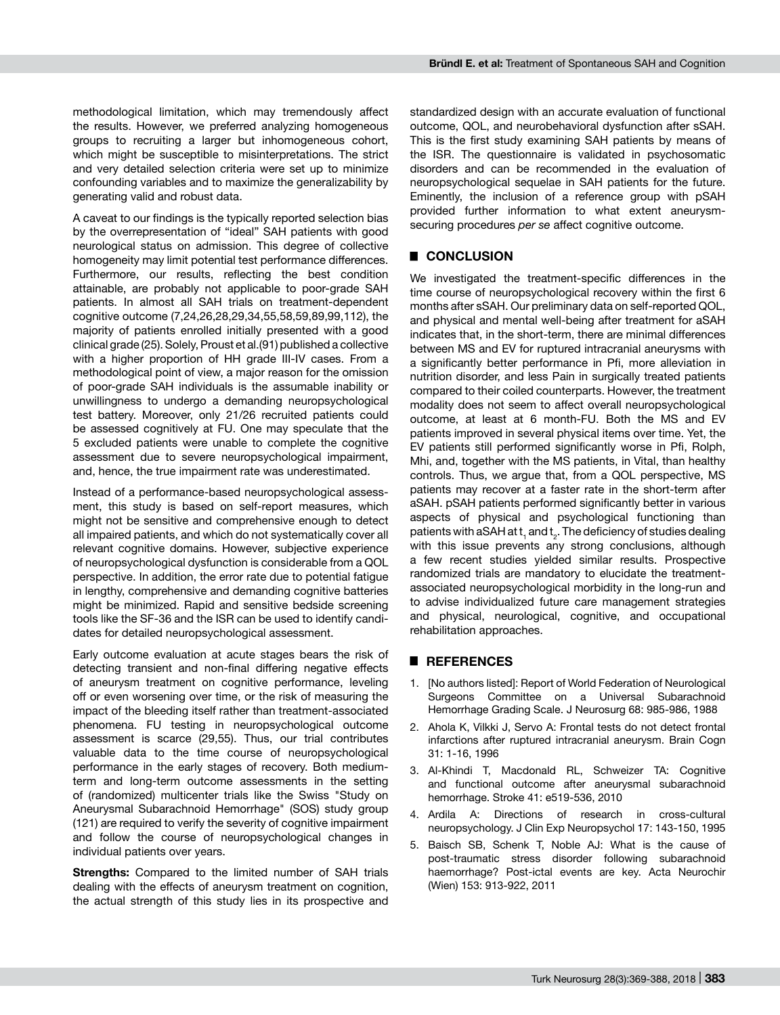methodological limitation, which may tremendously affect the results. However, we preferred analyzing homogeneous groups to recruiting a larger but inhomogeneous cohort, which might be susceptible to misinterpretations. The strict and very detailed selection criteria were set up to minimize confounding variables and to maximize the generalizability by generating valid and robust data.

A caveat to our findings is the typically reported selection bias by the overrepresentation of "ideal" SAH patients with good neurological status on admission. This degree of collective homogeneity may limit potential test performance differences. Furthermore, our results, reflecting the best condition attainable, are probably not applicable to poor-grade SAH patients. In almost all SAH trials on treatment-dependent cognitive outcome (7,24,26,28,29,34,55,58,59,89,99,112), the majority of patients enrolled initially presented with a good clinical grade (25). Solely, Proust et al.(91) published a collective with a higher proportion of HH grade III-IV cases. From a methodological point of view, a major reason for the omission of poor-grade SAH individuals is the assumable inability or unwillingness to undergo a demanding neuropsychological test battery. Moreover, only 21/26 recruited patients could be assessed cognitively at FU. One may speculate that the 5 excluded patients were unable to complete the cognitive assessment due to severe neuropsychological impairment, and, hence, the true impairment rate was underestimated.

Instead of a performance-based neuropsychological assessment, this study is based on self-report measures, which might not be sensitive and comprehensive enough to detect all impaired patients, and which do not systematically cover all relevant cognitive domains. However, subjective experience of neuropsychological dysfunction is considerable from a QOL perspective. In addition, the error rate due to potential fatigue in lengthy, comprehensive and demanding cognitive batteries might be minimized. Rapid and sensitive bedside screening tools like the SF-36 and the ISR can be used to identify candidates for detailed neuropsychological assessment.

Early outcome evaluation at acute stages bears the risk of detecting transient and non-final differing negative effects of aneurysm treatment on cognitive performance, leveling off or even worsening over time, or the risk of measuring the impact of the bleeding itself rather than treatment-associated phenomena. FU testing in neuropsychological outcome assessment is scarce (29,55). Thus, our trial contributes valuable data to the time course of neuropsychological performance in the early stages of recovery. Both mediumterm and long-term outcome assessments in the setting of (randomized) multicenter trials like the Swiss "Study on Aneurysmal Subarachnoid Hemorrhage" (SOS) study group (121) are required to verify the severity of cognitive impairment and follow the course of neuropsychological changes in individual patients over years.

**Strengths:** Compared to the limited number of SAH trials dealing with the effects of aneurysm treatment on cognition, the actual strength of this study lies in its prospective and

standardized design with an accurate evaluation of functional outcome, QOL, and neurobehavioral dysfunction after sSAH. This is the first study examining SAH patients by means of the ISR. The questionnaire is validated in psychosomatic disorders and can be recommended in the evaluation of neuropsychological sequelae in SAH patients for the future. Eminently, the inclusion of a reference group with pSAH provided further information to what extent aneurysmsecuring procedures *per se* affect cognitive outcome.

## █ **CONCLUSION**

We investigated the treatment-specific differences in the time course of neuropsychological recovery within the first 6 months after sSAH. Our preliminary data on self-reported QOL, and physical and mental well-being after treatment for aSAH indicates that, in the short-term, there are minimal differences between MS and EV for ruptured intracranial aneurysms with a significantly better performance in Pfi, more alleviation in nutrition disorder, and less Pain in surgically treated patients compared to their coiled counterparts. However, the treatment modality does not seem to affect overall neuropsychological outcome, at least at 6 month-FU. Both the MS and EV patients improved in several physical items over time. Yet, the EV patients still performed significantly worse in Pfi, Rolph, Mhi, and, together with the MS patients, in Vital, than healthy controls. Thus, we argue that, from a QOL perspective, MS patients may recover at a faster rate in the short-term after aSAH. pSAH patients performed significantly better in various aspects of physical and psychological functioning than patients with aSAH at  $\mathsf{t}_\mathsf{1}$  and  $\mathsf{t}_\mathsf{2}$ . The deficiency of studies dealing with this issue prevents any strong conclusions, although a few recent studies yielded similar results. Prospective randomized trials are mandatory to elucidate the treatmentassociated neuropsychological morbidity in the long-run and to advise individualized future care management strategies and physical, neurological, cognitive, and occupational rehabilitation approaches.

### █ **REFERENCES**

- 1. [No authors listed]: Report of World Federation of Neurological Surgeons Committee on a Universal Subarachnoid Hemorrhage Grading Scale. J Neurosurg 68: 985-986, 1988
- 2. Ahola K, Vilkki J, Servo A: Frontal tests do not detect frontal infarctions after ruptured intracranial aneurysm. Brain Cogn 31: 1-16, 1996
- 3. Al-Khindi T, Macdonald RL, Schweizer TA: Cognitive and functional outcome after aneurysmal subarachnoid hemorrhage. Stroke 41: e519-536, 2010
- 4. Ardila A: Directions of research in cross-cultural neuropsychology. J Clin Exp Neuropsychol 17: 143-150, 1995
- 5. Baisch SB, Schenk T, Noble AJ: What is the cause of post-traumatic stress disorder following subarachnoid haemorrhage? Post-ictal events are key. Acta Neurochir (Wien) 153: 913-922, 2011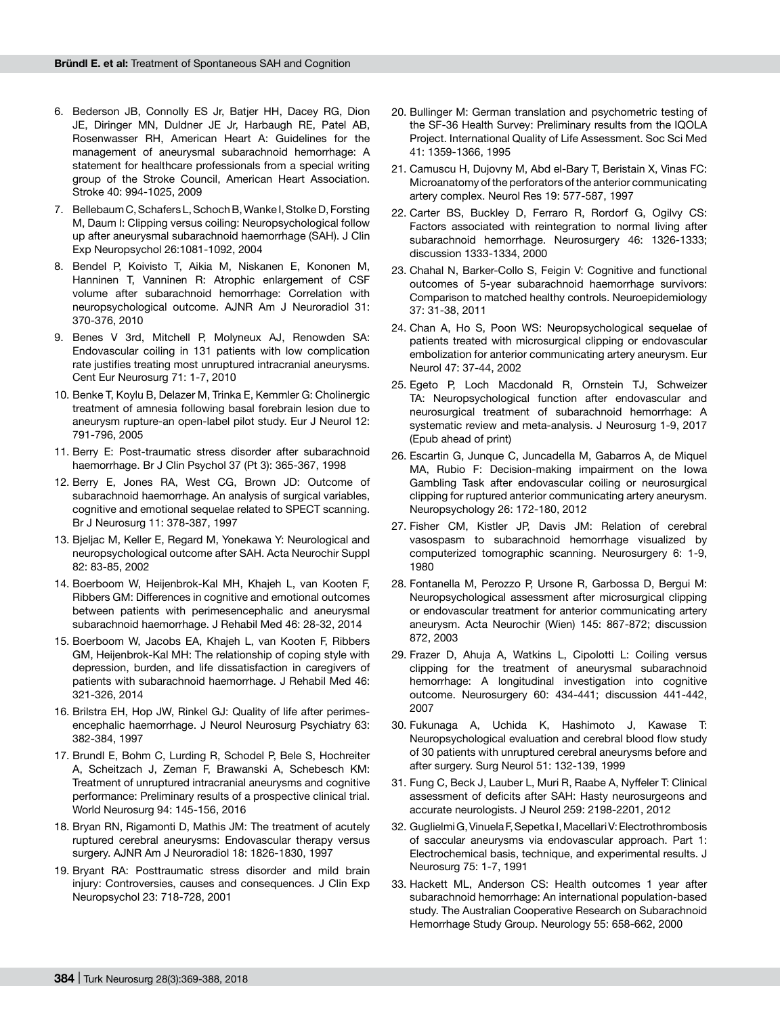- 6. Bederson JB, Connolly ES Jr, Batjer HH, Dacey RG, Dion JE, Diringer MN, Duldner JE Jr, Harbaugh RE, Patel AB, Rosenwasser RH, American Heart A: Guidelines for the management of aneurysmal subarachnoid hemorrhage: A statement for healthcare professionals from a special writing group of the Stroke Council, American Heart Association. Stroke 40: 994-1025, 2009
- 7. Bellebaum C, Schafers L, Schoch B, Wanke I, Stolke D, Forsting M, Daum I: Clipping versus coiling: Neuropsychological follow up after aneurysmal subarachnoid haemorrhage (SAH). J Clin Exp Neuropsychol 26:1081-1092, 2004
- 8. Bendel P, Koivisto T, Aikia M, Niskanen E, Kononen M, Hanninen T, Vanninen R: Atrophic enlargement of CSF volume after subarachnoid hemorrhage: Correlation with neuropsychological outcome. AJNR Am J Neuroradiol 31: 370-376, 2010
- 9. Benes V 3rd, Mitchell P, Molyneux AJ, Renowden SA: Endovascular coiling in 131 patients with low complication rate justifies treating most unruptured intracranial aneurysms. Cent Eur Neurosurg 71: 1-7, 2010
- 10. Benke T, Koylu B, Delazer M, Trinka E, Kemmler G: Cholinergic treatment of amnesia following basal forebrain lesion due to aneurysm rupture-an open-label pilot study. Eur J Neurol 12: 791-796, 2005
- 11. Berry E: Post-traumatic stress disorder after subarachnoid haemorrhage. Br J Clin Psychol 37 (Pt 3): 365-367, 1998
- 12. Berry E, Jones RA, West CG, Brown JD: Outcome of subarachnoid haemorrhage. An analysis of surgical variables, cognitive and emotional sequelae related to SPECT scanning. Br J Neurosurg 11: 378-387, 1997
- 13. Bjeljac M, Keller E, Regard M, Yonekawa Y: Neurological and neuropsychological outcome after SAH. Acta Neurochir Suppl 82: 83-85, 2002
- 14. Boerboom W, Heijenbrok-Kal MH, Khajeh L, van Kooten F, Ribbers GM: Differences in cognitive and emotional outcomes between patients with perimesencephalic and aneurysmal subarachnoid haemorrhage. J Rehabil Med 46: 28-32, 2014
- 15. Boerboom W, Jacobs EA, Khajeh L, van Kooten F, Ribbers GM, Heijenbrok-Kal MH: The relationship of coping style with depression, burden, and life dissatisfaction in caregivers of patients with subarachnoid haemorrhage. J Rehabil Med 46: 321-326, 2014
- 16. Brilstra EH, Hop JW, Rinkel GJ: Quality of life after perimesencephalic haemorrhage. J Neurol Neurosurg Psychiatry 63: 382-384, 1997
- 17. Brundl E, Bohm C, Lurding R, Schodel P, Bele S, Hochreiter A, Scheitzach J, Zeman F, Brawanski A, Schebesch KM: Treatment of unruptured intracranial aneurysms and cognitive performance: Preliminary results of a prospective clinical trial. World Neurosurg 94: 145-156, 2016
- 18. Bryan RN, Rigamonti D, Mathis JM: The treatment of acutely ruptured cerebral aneurysms: Endovascular therapy versus surgery. AJNR Am J Neuroradiol 18: 1826-1830, 1997
- 19. Bryant RA: Posttraumatic stress disorder and mild brain injury: Controversies, causes and consequences. J Clin Exp Neuropsychol 23: 718-728, 2001
- 20. Bullinger M: German translation and psychometric testing of the SF-36 Health Survey: Preliminary results from the IQOLA Project. International Quality of Life Assessment. Soc Sci Med 41: 1359-1366, 1995
- 21. Camuscu H, Dujovny M, Abd el-Bary T, Beristain X, Vinas FC: Microanatomy of the perforators of the anterior communicating artery complex. Neurol Res 19: 577-587, 1997
- 22. Carter BS, Buckley D, Ferraro R, Rordorf G, Ogilvy CS: Factors associated with reintegration to normal living after subarachnoid hemorrhage. Neurosurgery 46: 1326-1333; discussion 1333-1334, 2000
- 23. Chahal N, Barker-Collo S, Feigin V: Cognitive and functional outcomes of 5-year subarachnoid haemorrhage survivors: Comparison to matched healthy controls. Neuroepidemiology 37: 31-38, 2011
- 24. Chan A, Ho S, Poon WS: Neuropsychological sequelae of patients treated with microsurgical clipping or endovascular embolization for anterior communicating artery aneurysm. Eur Neurol 47: 37-44, 2002
- 25. Egeto P, Loch Macdonald R, Ornstein TJ, Schweizer TA: Neuropsychological function after endovascular and neurosurgical treatment of subarachnoid hemorrhage: A systematic review and meta-analysis. J Neurosurg 1-9, 2017 (Epub ahead of print)
- 26. Escartin G, Junque C, Juncadella M, Gabarros A, de Miquel MA, Rubio F: Decision-making impairment on the Iowa Gambling Task after endovascular coiling or neurosurgical clipping for ruptured anterior communicating artery aneurysm. Neuropsychology 26: 172-180, 2012
- 27. Fisher CM, Kistler JP, Davis JM: Relation of cerebral vasospasm to subarachnoid hemorrhage visualized by computerized tomographic scanning. Neurosurgery 6: 1-9, 1980
- 28. Fontanella M, Perozzo P, Ursone R, Garbossa D, Bergui M: Neuropsychological assessment after microsurgical clipping or endovascular treatment for anterior communicating artery aneurysm. Acta Neurochir (Wien) 145: 867-872; discussion 872, 2003
- 29. Frazer D, Ahuja A, Watkins L, Cipolotti L: Coiling versus clipping for the treatment of aneurysmal subarachnoid hemorrhage: A longitudinal investigation into cognitive outcome. Neurosurgery 60: 434-441; discussion 441-442, 2007
- 30. Fukunaga A, Uchida K, Hashimoto J, Kawase T: Neuropsychological evaluation and cerebral blood flow study of 30 patients with unruptured cerebral aneurysms before and after surgery. Surg Neurol 51: 132-139, 1999
- 31. Fung C, Beck J, Lauber L, Muri R, Raabe A, Nyffeler T: Clinical assessment of deficits after SAH: Hasty neurosurgeons and accurate neurologists. J Neurol 259: 2198-2201, 2012
- 32. Guglielmi G, Vinuela F, Sepetka I, Macellari V: Electrothrombosis of saccular aneurysms via endovascular approach. Part 1: Electrochemical basis, technique, and experimental results. J Neurosurg 75: 1-7, 1991
- 33. Hackett ML, Anderson CS: Health outcomes 1 year after subarachnoid hemorrhage: An international population-based study. The Australian Cooperative Research on Subarachnoid Hemorrhage Study Group. Neurology 55: 658-662, 2000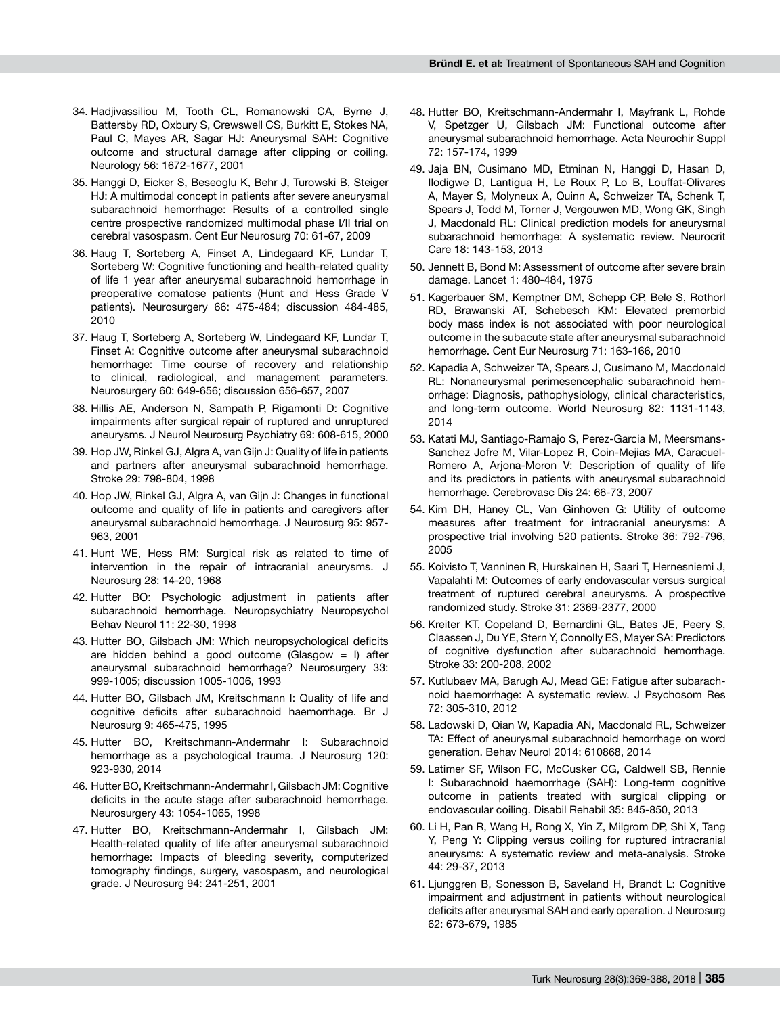- 34. Hadjivassiliou M, Tooth CL, Romanowski CA, Byrne J, Battersby RD, Oxbury S, Crewswell CS, Burkitt E, Stokes NA, Paul C, Mayes AR, Sagar HJ: Aneurysmal SAH: Cognitive outcome and structural damage after clipping or coiling. Neurology 56: 1672-1677, 2001
- 35. Hanggi D, Eicker S, Beseoglu K, Behr J, Turowski B, Steiger HJ: A multimodal concept in patients after severe aneurysmal subarachnoid hemorrhage: Results of a controlled single centre prospective randomized multimodal phase I/II trial on cerebral vasospasm. Cent Eur Neurosurg 70: 61-67, 2009
- 36. Haug T, Sorteberg A, Finset A, Lindegaard KF, Lundar T, Sorteberg W: Cognitive functioning and health-related quality of life 1 year after aneurysmal subarachnoid hemorrhage in preoperative comatose patients (Hunt and Hess Grade V patients). Neurosurgery 66: 475-484; discussion 484-485, 2010
- 37. Haug T, Sorteberg A, Sorteberg W, Lindegaard KF, Lundar T, Finset A: Cognitive outcome after aneurysmal subarachnoid hemorrhage: Time course of recovery and relationship to clinical, radiological, and management parameters. Neurosurgery 60: 649-656; discussion 656-657, 2007
- 38. Hillis AE, Anderson N, Sampath P, Rigamonti D: Cognitive impairments after surgical repair of ruptured and unruptured aneurysms. J Neurol Neurosurg Psychiatry 69: 608-615, 2000
- 39. Hop JW, Rinkel GJ, Algra A, van Gijn J: Quality of life in patients and partners after aneurysmal subarachnoid hemorrhage. Stroke 29: 798-804, 1998
- 40. Hop JW, Rinkel GJ, Algra A, van Gijn J: Changes in functional outcome and quality of life in patients and caregivers after aneurysmal subarachnoid hemorrhage. J Neurosurg 95: 957- 963, 2001
- 41. Hunt WE, Hess RM: Surgical risk as related to time of intervention in the repair of intracranial aneurysms. J Neurosurg 28: 14-20, 1968
- 42. Hutter BO: Psychologic adjustment in patients after subarachnoid hemorrhage. Neuropsychiatry Neuropsychol Behav Neurol 11: 22-30, 1998
- 43. Hutter BO, Gilsbach JM: Which neuropsychological deficits are hidden behind a good outcome (Glasgow = I) after aneurysmal subarachnoid hemorrhage? Neurosurgery 33: 999-1005; discussion 1005-1006, 1993
- 44. Hutter BO, Gilsbach JM, Kreitschmann I: Quality of life and cognitive deficits after subarachnoid haemorrhage. Br J Neurosurg 9: 465-475, 1995
- 45. Hutter BO, Kreitschmann-Andermahr I: Subarachnoid hemorrhage as a psychological trauma. J Neurosurg 120: 923-930, 2014
- 46. Hutter BO, Kreitschmann-Andermahr I, Gilsbach JM: Cognitive deficits in the acute stage after subarachnoid hemorrhage. Neurosurgery 43: 1054-1065, 1998
- 47. Hutter BO, Kreitschmann-Andermahr I, Gilsbach JM: Health-related quality of life after aneurysmal subarachnoid hemorrhage: Impacts of bleeding severity, computerized tomography findings, surgery, vasospasm, and neurological grade. J Neurosurg 94: 241-251, 2001
- 48. Hutter BO, Kreitschmann-Andermahr I, Mayfrank L, Rohde V, Spetzger U, Gilsbach JM: Functional outcome after aneurysmal subarachnoid hemorrhage. Acta Neurochir Suppl 72: 157-174, 1999
- 49. Jaja BN, Cusimano MD, Etminan N, Hanggi D, Hasan D, Ilodigwe D, Lantigua H, Le Roux P, Lo B, Louffat-Olivares A, Mayer S, Molyneux A, Quinn A, Schweizer TA, Schenk T, Spears J, Todd M, Torner J, Vergouwen MD, Wong GK, Singh J, Macdonald RL: Clinical prediction models for aneurysmal subarachnoid hemorrhage: A systematic review. Neurocrit Care 18: 143-153, 2013
- 50. Jennett B, Bond M: Assessment of outcome after severe brain damage. Lancet 1: 480-484, 1975
- 51. Kagerbauer SM, Kemptner DM, Schepp CP, Bele S, Rothorl RD, Brawanski AT, Schebesch KM: Elevated premorbid body mass index is not associated with poor neurological outcome in the subacute state after aneurysmal subarachnoid hemorrhage. Cent Eur Neurosurg 71: 163-166, 2010
- 52. Kapadia A, Schweizer TA, Spears J, Cusimano M, Macdonald RL: Nonaneurysmal perimesencephalic subarachnoid hemorrhage: Diagnosis, pathophysiology, clinical characteristics, and long-term outcome. World Neurosurg 82: 1131-1143, 2014
- 53. Katati MJ, Santiago-Ramajo S, Perez-Garcia M, Meersmans-Sanchez Jofre M, Vilar-Lopez R, Coin-Mejias MA, Caracuel-Romero A, Arjona-Moron V: Description of quality of life and its predictors in patients with aneurysmal subarachnoid hemorrhage. Cerebrovasc Dis 24: 66-73, 2007
- 54. Kim DH, Haney CL, Van Ginhoven G: Utility of outcome measures after treatment for intracranial aneurysms: A prospective trial involving 520 patients. Stroke 36: 792-796, 2005
- 55. Koivisto T, Vanninen R, Hurskainen H, Saari T, Hernesniemi J, Vapalahti M: Outcomes of early endovascular versus surgical treatment of ruptured cerebral aneurysms. A prospective randomized study. Stroke 31: 2369-2377, 2000
- 56. Kreiter KT, Copeland D, Bernardini GL, Bates JE, Peery S, Claassen J, Du YE, Stern Y, Connolly ES, Mayer SA: Predictors of cognitive dysfunction after subarachnoid hemorrhage. Stroke 33: 200-208, 2002
- 57. Kutlubaev MA, Barugh AJ, Mead GE: Fatigue after subarachnoid haemorrhage: A systematic review. J Psychosom Res 72: 305-310, 2012
- 58. Ladowski D, Qian W, Kapadia AN, Macdonald RL, Schweizer TA: Effect of aneurysmal subarachnoid hemorrhage on word generation. Behav Neurol 2014: 610868, 2014
- 59. Latimer SF, Wilson FC, McCusker CG, Caldwell SB, Rennie I: Subarachnoid haemorrhage (SAH): Long-term cognitive outcome in patients treated with surgical clipping or endovascular coiling. Disabil Rehabil 35: 845-850, 2013
- 60. Li H, Pan R, Wang H, Rong X, Yin Z, Milgrom DP, Shi X, Tang Y, Peng Y: Clipping versus coiling for ruptured intracranial aneurysms: A systematic review and meta-analysis. Stroke 44: 29-37, 2013
- 61. Ljunggren B, Sonesson B, Saveland H, Brandt L: Cognitive impairment and adjustment in patients without neurological deficits after aneurysmal SAH and early operation. J Neurosurg 62: 673-679, 1985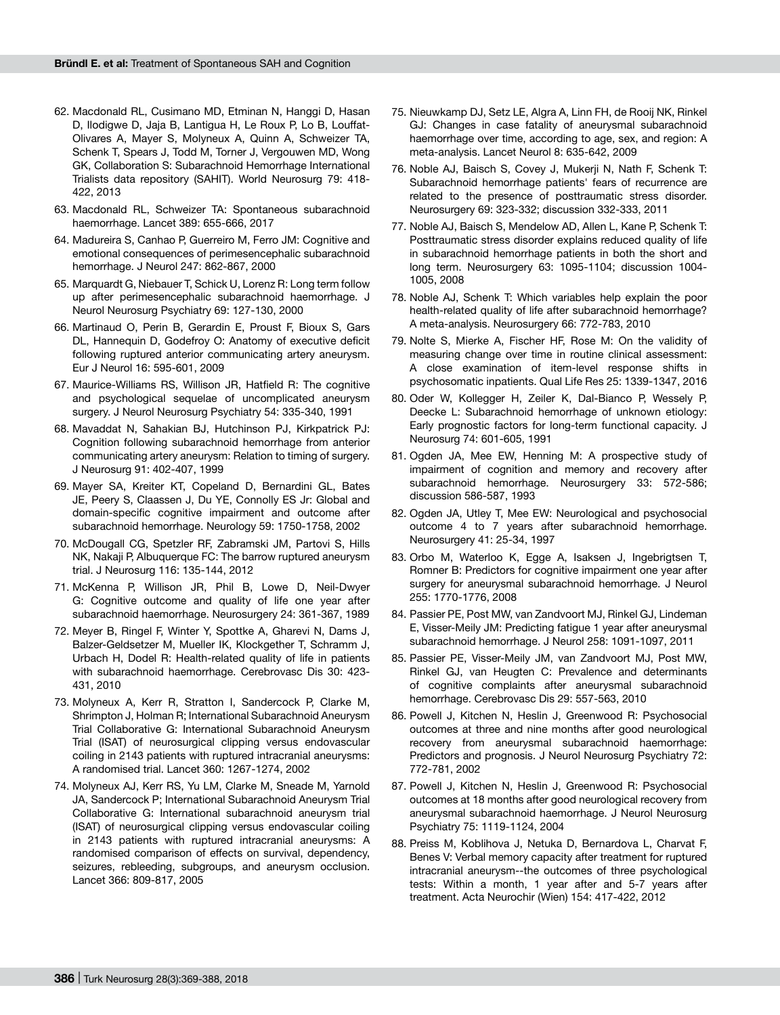- 62. Macdonald RL, Cusimano MD, Etminan N, Hanggi D, Hasan D, Ilodigwe D, Jaja B, Lantigua H, Le Roux P, Lo B, Louffat-Olivares A, Mayer S, Molyneux A, Quinn A, Schweizer TA, Schenk T, Spears J, Todd M, Torner J, Vergouwen MD, Wong GK, Collaboration S: Subarachnoid Hemorrhage International Trialists data repository (SAHIT). World Neurosurg 79: 418- 422, 2013
- 63. Macdonald RL, Schweizer TA: Spontaneous subarachnoid haemorrhage. Lancet 389: 655-666, 2017
- 64. Madureira S, Canhao P, Guerreiro M, Ferro JM: Cognitive and emotional consequences of perimesencephalic subarachnoid hemorrhage. J Neurol 247: 862-867, 2000
- 65. Marquardt G, Niebauer T, Schick U, Lorenz R: Long term follow up after perimesencephalic subarachnoid haemorrhage. J Neurol Neurosurg Psychiatry 69: 127-130, 2000
- 66. Martinaud O, Perin B, Gerardin E, Proust F, Bioux S, Gars DL, Hannequin D, Godefroy O: Anatomy of executive deficit following ruptured anterior communicating artery aneurysm. Eur J Neurol 16: 595-601, 2009
- 67. Maurice-Williams RS, Willison JR, Hatfield R: The cognitive and psychological sequelae of uncomplicated aneurysm surgery. J Neurol Neurosurg Psychiatry 54: 335-340, 1991
- 68. Mavaddat N, Sahakian BJ, Hutchinson PJ, Kirkpatrick PJ: Cognition following subarachnoid hemorrhage from anterior communicating artery aneurysm: Relation to timing of surgery. J Neurosurg 91: 402-407, 1999
- 69. Mayer SA, Kreiter KT, Copeland D, Bernardini GL, Bates JE, Peery S, Claassen J, Du YE, Connolly ES Jr: Global and domain-specific cognitive impairment and outcome after subarachnoid hemorrhage. Neurology 59: 1750-1758, 2002
- 70. McDougall CG, Spetzler RF, Zabramski JM, Partovi S, Hills NK, Nakaji P, Albuquerque FC: The barrow ruptured aneurysm trial. J Neurosurg 116: 135-144, 2012
- 71. McKenna P, Willison JR, Phil B, Lowe D, Neil-Dwyer G: Cognitive outcome and quality of life one year after subarachnoid haemorrhage. Neurosurgery 24: 361-367, 1989
- 72. Meyer B, Ringel F, Winter Y, Spottke A, Gharevi N, Dams J, Balzer-Geldsetzer M, Mueller IK, Klockgether T, Schramm J, Urbach H, Dodel R: Health-related quality of life in patients with subarachnoid haemorrhage. Cerebrovasc Dis 30: 423- 431, 2010
- 73. Molyneux A, Kerr R, Stratton I, Sandercock P, Clarke M, Shrimpton J, Holman R; International Subarachnoid Aneurysm Trial Collaborative G: International Subarachnoid Aneurysm Trial (ISAT) of neurosurgical clipping versus endovascular coiling in 2143 patients with ruptured intracranial aneurysms: A randomised trial. Lancet 360: 1267-1274, 2002
- 74. Molyneux AJ, Kerr RS, Yu LM, Clarke M, Sneade M, Yarnold JA, Sandercock P; International Subarachnoid Aneurysm Trial Collaborative G: International subarachnoid aneurysm trial (ISAT) of neurosurgical clipping versus endovascular coiling in 2143 patients with ruptured intracranial aneurysms: A randomised comparison of effects on survival, dependency, seizures, rebleeding, subgroups, and aneurysm occlusion. Lancet 366: 809-817, 2005
- 75. Nieuwkamp DJ, Setz LE, Algra A, Linn FH, de Rooij NK, Rinkel GJ: Changes in case fatality of aneurysmal subarachnoid haemorrhage over time, according to age, sex, and region: A meta-analysis. Lancet Neurol 8: 635-642, 2009
- 76. Noble AJ, Baisch S, Covey J, Mukerji N, Nath F, Schenk T: Subarachnoid hemorrhage patients' fears of recurrence are related to the presence of posttraumatic stress disorder. Neurosurgery 69: 323-332; discussion 332-333, 2011
- 77. Noble AJ, Baisch S, Mendelow AD, Allen L, Kane P, Schenk T: Posttraumatic stress disorder explains reduced quality of life in subarachnoid hemorrhage patients in both the short and long term. Neurosurgery 63: 1095-1104; discussion 1004- 1005, 2008
- 78. Noble AJ, Schenk T: Which variables help explain the poor health-related quality of life after subarachnoid hemorrhage? A meta-analysis. Neurosurgery 66: 772-783, 2010
- 79. Nolte S, Mierke A, Fischer HF, Rose M: On the validity of measuring change over time in routine clinical assessment: A close examination of item-level response shifts in psychosomatic inpatients. Qual Life Res 25: 1339-1347, 2016
- 80. Oder W, Kollegger H, Zeiler K, Dal-Bianco P, Wessely P, Deecke L: Subarachnoid hemorrhage of unknown etiology: Early prognostic factors for long-term functional capacity. J Neurosurg 74: 601-605, 1991
- 81. Ogden JA, Mee EW, Henning M: A prospective study of impairment of cognition and memory and recovery after subarachnoid hemorrhage. Neurosurgery 33: 572-586; discussion 586-587, 1993
- 82. Ogden JA, Utley T, Mee EW: Neurological and psychosocial outcome 4 to 7 years after subarachnoid hemorrhage. Neurosurgery 41: 25-34, 1997
- 83. Orbo M, Waterloo K, Egge A, Isaksen J, Ingebrigtsen T, Romner B: Predictors for cognitive impairment one year after surgery for aneurysmal subarachnoid hemorrhage. J Neurol 255: 1770-1776, 2008
- 84. Passier PE, Post MW, van Zandvoort MJ, Rinkel GJ, Lindeman E, Visser-Meily JM: Predicting fatigue 1 year after aneurysmal subarachnoid hemorrhage. J Neurol 258: 1091-1097, 2011
- 85. Passier PE, Visser-Meily JM, van Zandvoort MJ, Post MW, Rinkel GJ, van Heugten C: Prevalence and determinants of cognitive complaints after aneurysmal subarachnoid hemorrhage. Cerebrovasc Dis 29: 557-563, 2010
- 86. Powell J, Kitchen N, Heslin J, Greenwood R: Psychosocial outcomes at three and nine months after good neurological recovery from aneurysmal subarachnoid haemorrhage: Predictors and prognosis. J Neurol Neurosurg Psychiatry 72: 772-781, 2002
- 87. Powell J, Kitchen N, Heslin J, Greenwood R: Psychosocial outcomes at 18 months after good neurological recovery from aneurysmal subarachnoid haemorrhage. J Neurol Neurosurg Psychiatry 75: 1119-1124, 2004
- 88. Preiss M, Koblihova J, Netuka D, Bernardova L, Charvat F, Benes V: Verbal memory capacity after treatment for ruptured intracranial aneurysm--the outcomes of three psychological tests: Within a month, 1 year after and 5-7 years after treatment. Acta Neurochir (Wien) 154: 417-422, 2012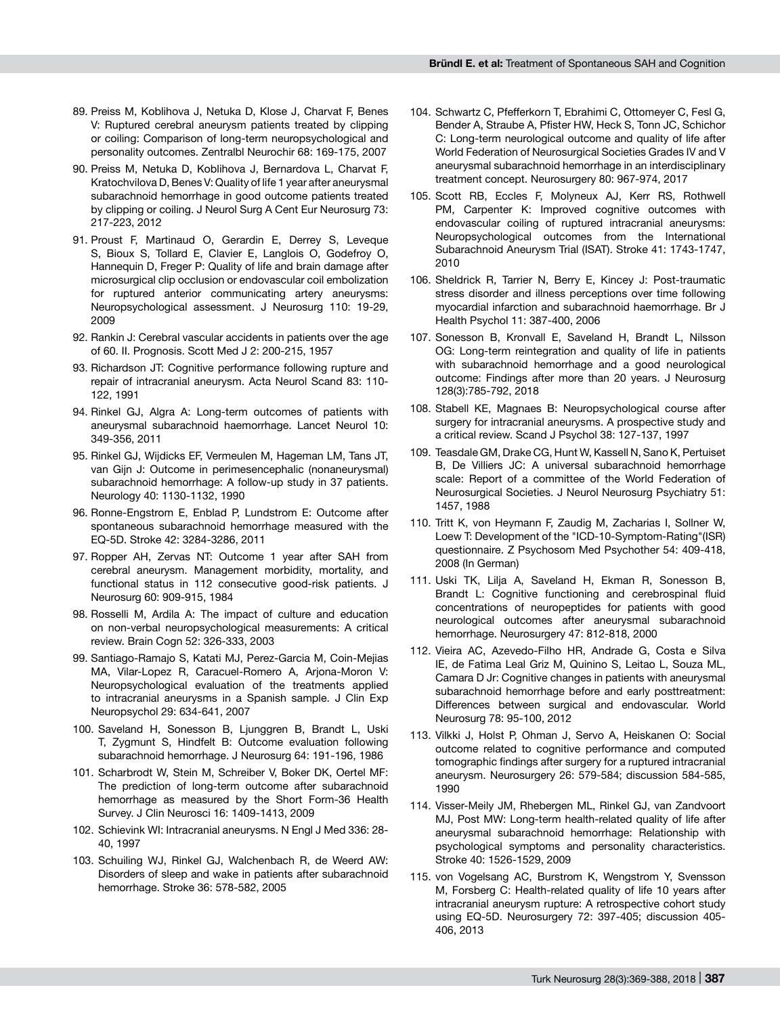- 89. Preiss M, Koblihova J, Netuka D, Klose J, Charvat F, Benes V: Ruptured cerebral aneurysm patients treated by clipping or coiling: Comparison of long-term neuropsychological and personality outcomes. Zentralbl Neurochir 68: 169-175, 2007
- 90. Preiss M, Netuka D, Koblihova J, Bernardova L, Charvat F, Kratochvilova D, Benes V: Quality of life 1 year after aneurysmal subarachnoid hemorrhage in good outcome patients treated by clipping or coiling. J Neurol Surg A Cent Eur Neurosurg 73: 217-223, 2012
- 91. Proust F, Martinaud O, Gerardin E, Derrey S, Leveque S, Bioux S, Tollard E, Clavier E, Langlois O, Godefroy O, Hannequin D, Freger P: Quality of life and brain damage after microsurgical clip occlusion or endovascular coil embolization for ruptured anterior communicating artery aneurysms: Neuropsychological assessment. J Neurosurg 110: 19-29, 2009
- 92. Rankin J: Cerebral vascular accidents in patients over the age of 60. II. Prognosis. Scott Med J 2: 200-215, 1957
- 93. Richardson JT: Cognitive performance following rupture and repair of intracranial aneurysm. Acta Neurol Scand 83: 110- 122, 1991
- 94. Rinkel GJ, Algra A: Long-term outcomes of patients with aneurysmal subarachnoid haemorrhage. Lancet Neurol 10: 349-356, 2011
- 95. Rinkel GJ, Wijdicks EF, Vermeulen M, Hageman LM, Tans JT, van Gijn J: Outcome in perimesencephalic (nonaneurysmal) subarachnoid hemorrhage: A follow-up study in 37 patients. Neurology 40: 1130-1132, 1990
- 96. Ronne-Engstrom E, Enblad P, Lundstrom E: Outcome after spontaneous subarachnoid hemorrhage measured with the EQ-5D. Stroke 42: 3284-3286, 2011
- 97. Ropper AH, Zervas NT: Outcome 1 year after SAH from cerebral aneurysm. Management morbidity, mortality, and functional status in 112 consecutive good-risk patients. J Neurosurg 60: 909-915, 1984
- 98. Rosselli M, Ardila A: The impact of culture and education on non-verbal neuropsychological measurements: A critical review. Brain Cogn 52: 326-333, 2003
- 99. Santiago-Ramajo S, Katati MJ, Perez-Garcia M, Coin-Mejias MA, Vilar-Lopez R, Caracuel-Romero A, Arjona-Moron V: Neuropsychological evaluation of the treatments applied to intracranial aneurysms in a Spanish sample. J Clin Exp Neuropsychol 29: 634-641, 2007
- 100. Saveland H, Sonesson B, Ljunggren B, Brandt L, Uski T, Zygmunt S, Hindfelt B: Outcome evaluation following subarachnoid hemorrhage. J Neurosurg 64: 191-196, 1986
- 101. Scharbrodt W, Stein M, Schreiber V, Boker DK, Oertel MF: The prediction of long-term outcome after subarachnoid hemorrhage as measured by the Short Form-36 Health Survey. J Clin Neurosci 16: 1409-1413, 2009
- 102. Schievink WI: Intracranial aneurysms. N Engl J Med 336: 28- 40, 1997
- 103. Schuiling WJ, Rinkel GJ, Walchenbach R, de Weerd AW: Disorders of sleep and wake in patients after subarachnoid hemorrhage. Stroke 36: 578-582, 2005
- 104. Schwartz C, Pfefferkorn T, Ebrahimi C, Ottomeyer C, Fesl G, Bender A, Straube A, Pfister HW, Heck S, Tonn JC, Schichor C: Long-term neurological outcome and quality of life after World Federation of Neurosurgical Societies Grades IV and V aneurysmal subarachnoid hemorrhage in an interdisciplinary treatment concept. Neurosurgery 80: 967-974, 2017
- 105. Scott RB, Eccles F, Molyneux AJ, Kerr RS, Rothwell PM, Carpenter K: Improved cognitive outcomes with endovascular coiling of ruptured intracranial aneurysms: Neuropsychological outcomes from the International Subarachnoid Aneurysm Trial (ISAT). Stroke 41: 1743-1747, 2010
- 106. Sheldrick R, Tarrier N, Berry E, Kincey J: Post-traumatic stress disorder and illness perceptions over time following myocardial infarction and subarachnoid haemorrhage. Br J Health Psychol 11: 387-400, 2006
- 107. Sonesson B, Kronvall E, Saveland H, Brandt L, Nilsson OG: Long-term reintegration and quality of life in patients with subarachnoid hemorrhage and a good neurological outcome: Findings after more than 20 years. J Neurosurg 128(3):785-792, 2018
- 108. Stabell KE, Magnaes B: Neuropsychological course after surgery for intracranial aneurysms. A prospective study and a critical review. Scand J Psychol 38: 127-137, 1997
- 109. Teasdale GM, Drake CG, Hunt W, Kassell N, Sano K, Pertuiset B, De Villiers JC: A universal subarachnoid hemorrhage scale: Report of a committee of the World Federation of Neurosurgical Societies. J Neurol Neurosurg Psychiatry 51: 1457, 1988
- 110. Tritt K, von Heymann F, Zaudig M, Zacharias I, Sollner W, Loew T: Development of the "ICD-10-Symptom-Rating"(ISR) questionnaire. Z Psychosom Med Psychother 54: 409-418, 2008 (In German)
- 111. Uski TK, Lilja A, Saveland H, Ekman R, Sonesson B, Brandt L: Cognitive functioning and cerebrospinal fluid concentrations of neuropeptides for patients with good neurological outcomes after aneurysmal subarachnoid hemorrhage. Neurosurgery 47: 812-818, 2000
- 112. Vieira AC, Azevedo-Filho HR, Andrade G, Costa e Silva IE, de Fatima Leal Griz M, Quinino S, Leitao L, Souza ML, Camara D Jr: Cognitive changes in patients with aneurysmal subarachnoid hemorrhage before and early posttreatment: Differences between surgical and endovascular. World Neurosurg 78: 95-100, 2012
- 113. Vilkki J, Holst P, Ohman J, Servo A, Heiskanen O: Social outcome related to cognitive performance and computed tomographic findings after surgery for a ruptured intracranial aneurysm. Neurosurgery 26: 579-584; discussion 584-585, 1990
- 114. Visser-Meily JM, Rhebergen ML, Rinkel GJ, van Zandvoort MJ, Post MW: Long-term health-related quality of life after aneurysmal subarachnoid hemorrhage: Relationship with psychological symptoms and personality characteristics. Stroke 40: 1526-1529, 2009
- 115. von Vogelsang AC, Burstrom K, Wengstrom Y, Svensson M, Forsberg C: Health-related quality of life 10 years after intracranial aneurysm rupture: A retrospective cohort study using EQ-5D. Neurosurgery 72: 397-405; discussion 405- 406, 2013